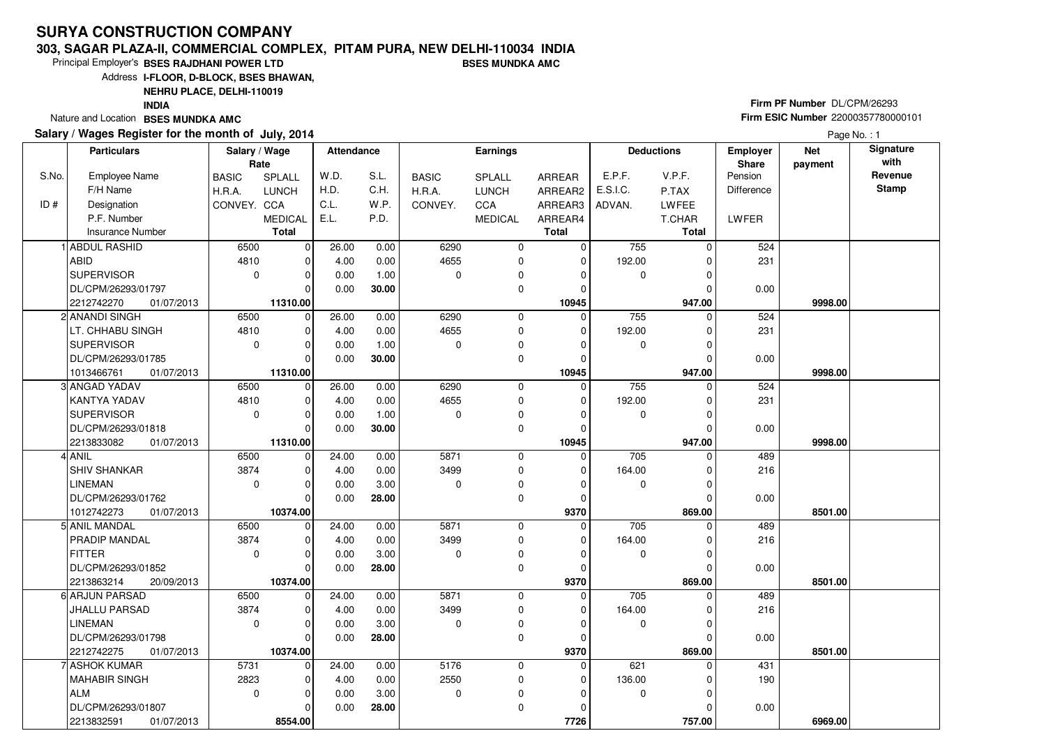### **303, SAGAR PLAZA-II, COMMERCIAL COMPLEX, PITAM PURA, NEW DELHI-110034 INDIABSES MUNDKA AMC**

8554.00

2213832591 **8554.00**01/07/2013

Principal Employer's**BSES RAJDHANI POWER LTD**

Address**I-FLOOR, D-BLOCK, BSES BHAWAN,**

**NEHRU PLACE, DELHI-110019**

**INDIA**

Nature and Location **BSES MUNDKA AMC** 

## **Salary / Wages Register for the month of July, 2014**

# **Firm PF Number** DL/CPM/26293 **Firm ESIC Number** <sup>22000357780000101</sup>

|       | alary / Wages Register for the month of July, 2014 |                       |                |                   |       |              |                 |              |             |                   | Page No.: 1                     |                       |                   |
|-------|----------------------------------------------------|-----------------------|----------------|-------------------|-------|--------------|-----------------|--------------|-------------|-------------------|---------------------------------|-----------------------|-------------------|
|       | <b>Particulars</b>                                 | Salary / Wage<br>Rate |                | <b>Attendance</b> |       |              | <b>Earnings</b> |              |             | <b>Deductions</b> | <b>Employer</b><br><b>Share</b> | <b>Net</b><br>payment | Signature<br>with |
| S.No. | Employee Name                                      | <b>BASIC</b>          | SPLALL         | W.D.              | S.L.  | <b>BASIC</b> | <b>SPLALL</b>   | ARREAR       | E.P.F.      | V.P.F.            | Pension                         |                       | Revenue           |
|       | F/H Name                                           | H.R.A.                | <b>LUNCH</b>   | H.D.              | C.H.  | H.R.A.       | <b>LUNCH</b>    | ARREAR2      | E.S.I.C.    | P.TAX             | Difference                      |                       | Stamp             |
| ID#   | Designation                                        | CONVEY. CCA           |                | C.L.              | W.P.  | CONVEY.      | CCA             | ARREAR3      | ADVAN.      | <b>LWFEE</b>      |                                 |                       |                   |
|       | P.F. Number                                        |                       | <b>MEDICAL</b> | E.L.              | P.D.  |              | MEDICAL         | ARREAR4      |             | T.CHAR            | <b>LWFER</b>                    |                       |                   |
|       | <b>Insurance Number</b>                            |                       | <b>Total</b>   |                   |       |              |                 | <b>Total</b> |             | <b>Total</b>      |                                 |                       |                   |
|       | 1 ABDUL RASHID                                     | 6500                  | $\mathbf 0$    | 26.00             | 0.00  | 6290         | 0               | $\mathbf 0$  | 755         | $\Omega$          | 524                             |                       |                   |
|       | ABID                                               | 4810                  | $\Omega$       | 4.00              | 0.00  | 4655         | $\mathbf 0$     | $\Omega$     | 192.00      |                   | 231                             |                       |                   |
|       | <b>SUPERVISOR</b>                                  | $\mathbf 0$           | $\Omega$       | 0.00              | 1.00  | $\Omega$     | 0               | $\Omega$     | $\mathbf 0$ | $\Omega$          |                                 |                       |                   |
|       | DL/CPM/26293/01797                                 |                       | $\Omega$       | 0.00              | 30.00 |              | $\mathbf 0$     | $\Omega$     |             |                   | 0.00                            |                       |                   |
|       | 2212742270<br>01/07/2013                           |                       | 11310.00       |                   |       |              |                 | 10945        |             | 947.00            |                                 | 9998.00               |                   |
|       | 2 ANANDI SINGH                                     | 6500                  | $\mathbf 0$    | 26.00             | 0.00  | 6290         | $\mathbf 0$     | 0            | 755         |                   | 524                             |                       |                   |
|       | LT. CHHABU SINGH                                   | 4810                  | $\Omega$       | 4.00              | 0.00  | 4655         | 0               | $\Omega$     | 192.00      |                   | 231                             |                       |                   |
|       | <b>SUPERVISOR</b>                                  | $\Omega$              | $\Omega$       | 0.00              | 1.00  | $\Omega$     | 0               | O            | 0           |                   |                                 |                       |                   |
|       | DL/CPM/26293/01785                                 |                       | $\Omega$       | 0.00              | 30.00 |              | $\mathbf 0$     | $\Omega$     |             |                   | 0.00                            |                       |                   |
|       | 1013466761<br>01/07/2013                           |                       | 11310.00       |                   |       |              |                 | 10945        |             | 947.00            |                                 | 9998.00               |                   |
|       | 3 ANGAD YADAV                                      | 6500                  | 0              | 26.00             | 0.00  | 6290         | 0               | $\Omega$     | 755         |                   | 524                             |                       |                   |
|       | KANTYA YADAV                                       | 4810                  | $\Omega$       | 4.00              | 0.00  | 4655         | 0               | $\Omega$     | 192.00      |                   | 231                             |                       |                   |
|       | <b>SUPERVISOR</b>                                  | $\mathbf 0$           | $\Omega$       | 0.00              | 1.00  | $\Omega$     | 0               | $\Omega$     | $\mathbf 0$ | $\Omega$          |                                 |                       |                   |
|       | DL/CPM/26293/01818                                 |                       | $\Omega$       | 0.00              | 30.00 |              | 0               | $\Omega$     |             |                   | 0.00                            |                       |                   |
|       | 2213833082<br>01/07/2013                           |                       | 11310.00       |                   |       |              |                 | 10945        |             | 947.00            |                                 | 9998.00               |                   |
|       | 4 ANIL                                             | 6500                  | $\mathbf 0$    | 24.00             | 0.00  | 5871         | $\mathbf 0$     | $\Omega$     | 705         |                   | 489                             |                       |                   |
|       | <b>SHIV SHANKAR</b>                                | 3874                  | $\Omega$       | 4.00              | 0.00  | 3499         | $\mathbf 0$     | $\Omega$     | 164.00      | $\Omega$          | 216                             |                       |                   |
|       | <b>LINEMAN</b>                                     | $\Omega$              | $\Omega$       | 0.00              | 3.00  | $\Omega$     | $\mathbf 0$     | $\Omega$     | $\mathbf 0$ |                   |                                 |                       |                   |
|       | DL/CPM/26293/01762                                 |                       | $\Omega$       | 0.00              | 28.00 |              | $\mathbf 0$     | $\Omega$     |             |                   | 0.00                            |                       |                   |
|       | 1012742273<br>01/07/2013                           |                       | 10374.00       |                   |       |              |                 | 9370         |             | 869.00            |                                 | 8501.00               |                   |
|       | 5 ANIL MANDAL                                      | 6500                  | $\Omega$       | 24.00             | 0.00  | 5871         | 0               | $\Omega$     | 705         |                   | 489                             |                       |                   |
|       | <b>PRADIP MANDAL</b>                               | 3874                  | $\Omega$       | 4.00              | 0.00  | 3499         | 0               | $\Omega$     | 164.00      |                   | 216                             |                       |                   |
|       | <b>FITTER</b>                                      | $\Omega$              | $\Omega$       | 0.00              | 3.00  | $\Omega$     | 0               | $\Omega$     | 0           | $\Omega$          |                                 |                       |                   |
|       | DL/CPM/26293/01852                                 |                       | $\mathbf 0$    | 0.00              | 28.00 |              | 0               | $\Omega$     |             |                   | 0.00                            |                       |                   |
|       | 2213863214<br>20/09/2013                           |                       | 10374.00       |                   |       |              |                 | 9370         |             | 869.00            |                                 | 8501.00               |                   |
|       | 6 ARJUN PARSAD                                     | 6500                  | $\Omega$       | 24.00             | 0.00  | 5871         | $\Omega$        | $\Omega$     | 705         | $\Omega$          | 489                             |                       |                   |
|       | JHALLU PARSAD                                      | 3874                  | $\mathbf 0$    | 4.00              | 0.00  | 3499         | 0               | 0            | 164.00      |                   | 216                             |                       |                   |
|       | <b>LINEMAN</b>                                     | $\mathbf 0$           | $\Omega$       | 0.00              | 3.00  | $\Omega$     | 0               | $\Omega$     | $\mathbf 0$ |                   |                                 |                       |                   |
|       | DL/CPM/26293/01798                                 |                       | $\Omega$       | 0.00              | 28.00 |              | 0               | $\Omega$     |             | 0                 | 0.00                            |                       |                   |
|       | 2212742275<br>01/07/2013                           |                       | 10374.00       |                   |       |              |                 | 9370         |             | 869.00            |                                 | 8501.00               |                   |
|       | 7 ASHOK KUMAR                                      | 5731                  | $\mathbf 0$    | 24.00             | 0.00  | 5176         | $\mathbf 0$     | $\Omega$     | 621         | $\Omega$          | 431                             |                       |                   |
|       | MAHABIR SINGH                                      | 2823                  | $\mathbf 0$    | 4.00              | 0.00  | 2550         | $\mathbf 0$     | $\Omega$     | 136.00      |                   | 190                             |                       |                   |
|       | <b>ALM</b>                                         | $\mathbf 0$           | $\Omega$       | 0.00              | 3.00  | 0            | $\mathbf 0$     | 0            | 0           | $\Omega$          |                                 |                       |                   |
|       | DL/CPM/26293/01807                                 |                       | $\Omega$       | 0.00              | 28.00 |              | $\Omega$        | $\Omega$     |             | $\Omega$          | 0.00                            |                       |                   |

 **7726**

 **757.00 6969.00**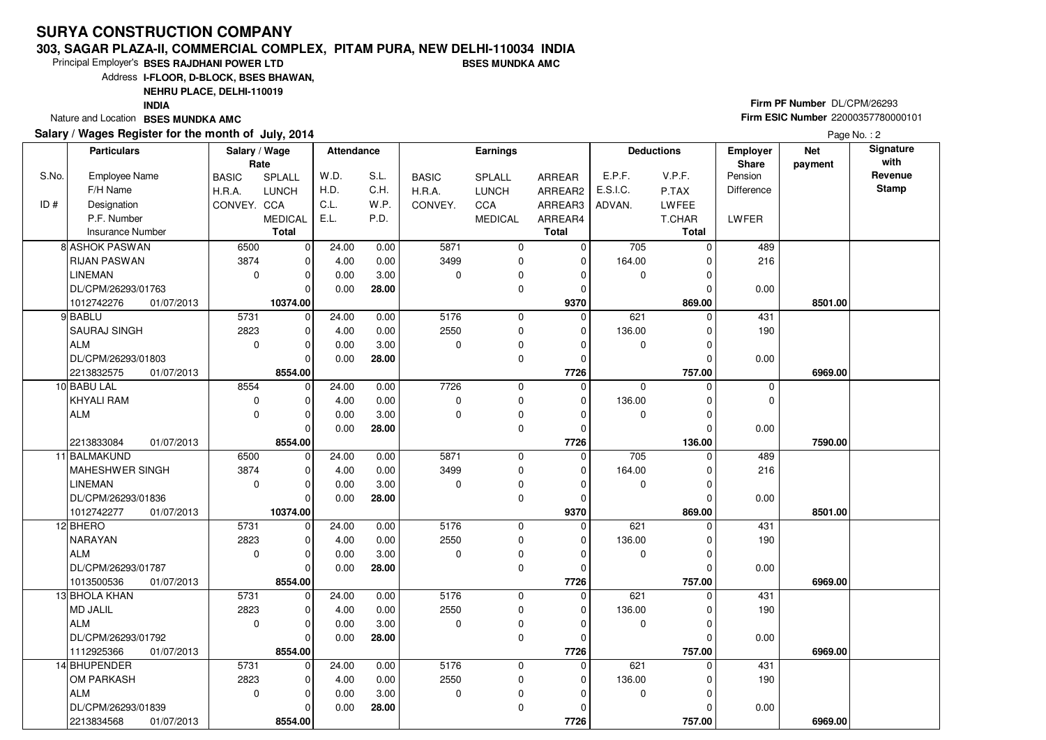#### **303, SAGAR PLAZA-II, COMMERCIAL COMPLEX, PITAM PURA, NEW DELHI-110034 INDIABSES MUNDKA AMC**

 $\overline{\phantom{0}}$ 8554.00 0.00

**28.00**

Principal Employer's**BSES RAJDHANI POWER LTD**

Address**I-FLOOR, D-BLOCK, BSES BHAWAN,**

**NEHRU PLACE, DELHI-110019**

**INDIA**

Nature and Location **BSES MUNDKA AMC** 

DL/CPM/26293/01839

2213834568 **8554.00**

01/07/2013

## **Salary / Wages Register for the month of July, 2014**

# **Firm PF Number** DL/CPM/26293 **Firm ESIC Number** <sup>22000357780000101</sup>

 **757.00 6969.00**

**BASIC**  H.R.A.CONVEY. CCA SPLALL LUNCH MEDICALARREAR ARREAR2 ARREAR3 ARREAR4**Total**S.No. $ID#$ Employee NameF/H Name Designation P.F. NumberInsurance Number**Salary / Wage RateAttendance EarningsBASIC**  H.R.A.**CONVEY** SPLALL LUNCHC<sub>C</sub>A MEDICAL**Total**ADVAN.P.TAX LWFEE T.CHAR **Total**E.P.F. V.P.F. E.S.I.C.Pension DifferenceLWFER**Deductions Employer Share**W.D.H.D.C.L.E.L.S.L.C.H.W<sub>P</sub> P.D.**Net paymentSignature with Revenue StampParticulars**Page No.: 2 6500 3874 $\overline{0}$  $\overline{0}$  $\overline{0}$  $\overline{0}$  $\overline{0}$ 10374.00  $\overline{0}$  $\overline{0}$  $\overline{0}$  $\overline{0}$   **9370** $\overline{0}$  5871 3499 $\overline{0}$  $\overline{0}$  $\overline{0}$  $\overline{0}$  $\overline{0}$  705 0 $\overline{0}$  164.00 $\overline{0}$  $\overline{0}$  $\overline{0}$ 869.00  **869.00 8501.00** 489 216 0.008 ASHOK PASWAN RIJAN PASWANLINEMAN DL/CPM/26293/01763 **10374.00** 01/07/2013101274227624.00 4.00 0.00 0.00 0.00 0.00 3.00 **28.00** 5731 2823 $\overline{0}$  $\Omega$  $\overline{0}$  $\overline{0}$  $\overline{0}$ 8554.00  $\overline{0}$  $\overline{0}$  $\overline{0}$   **7726** $\overline{0}$  5176 2550 $\overline{0}$  $\overline{0}$  $\overline{0}$  $\overline{0}$  $\overline{0}$  621 0 $\overline{0}$  136.00 $\overline{0}$  $\overline{0}$  $\overline{0}$ 757.00  **757.00 6969.00** 431 190 0.009 BABLU SAURAJ SINGHALM DL/CPM/26293/01803 2213832575 **8554.00**01/07/2013 $\overline{0}$  $24.00$  4.00 0.00 0.00 0.00 0.00 3.00 **28.00** 8554 $\overline{0}$  $\overline{0}$  $\overline{0}$  $\overline{0}$  $\overline{\phantom{0}}$ 8554.00  $\overline{0}$  $\overline{0}$  $\overline{0}$   **7726** $\overline{0}$  7726 $\overline{0}$  $\overline{0}$  $\overline{0}$  $\overline{0}$  $\overline{0}$  $\overline{0}$  0 0 $\overline{0}$  136.00 $\overline{0}$  $\overline{0}$  $\overline{0}$ 136.00  **136.00 7590.00** $\overline{0}$  $\overline{0}$  0.0010 BABU LAL KHYALI RAMALM2213833084 **8554.00** $\overline{0}$ 24.00 4.00 0.00 0.00 0.00 0.00 3.00 **28.00**01/07/2013 6500 3874 $\overline{0}$  $\overline{0}$  $\overline{0}$  $\overline{\phantom{0}}$ 10374.00  $\overline{0}$  $\overline{0}$  $\overline{0}$   **9370** $\overline{0}$  5871 3499 $\overline{0}$  $\overline{0}$  $\overline{0}$  $\overline{0}$  $\overline{0}$  705 0 $\overline{0}$  164.00 $\overline{0}$  $\overline{0}$  $\overline{0}$ 869.00  **869.00 8501.00** 489 216 0.0011 BALMAKUND MAHESHWER SINGHLINEMAN DL/CPM/26293/01836 **10374.00** 01/07/2013101274227724.00 4.00 0.00 0.00 0.00 0.00 3.00 **28.00** 5731 2823 $\overline{0}$  $\Omega$  $\Omega$  $\Omega$  $\Omega$ 8554.00  $\overline{0}$  $\overline{0}$  $\overline{0}$   **7726** $\overline{0}$  5176 2550 $\overline{0}$  0 $\overline{0}$  $\overline{0}$  $\overline{0}$ 621 0  $\overline{0}$  136.00 $\overline{0}$  $\overline{0}$  $\overline{0}$ 757.00  **757.00 6969.00** 431 190 0.00<sup>12</sup> BHERO NARAYANALM DL/CPM/26293/01787 01/07/20131013500536 **8554.00**24.00 4.00 0.00 0.00 0.00 0.00 3.00 **28.00** 5731 2823 $\overline{0}$  $\overline{\phantom{0}}$  $\Omega$  $\Omega$  $\Omega$ 8554.00  $\overline{0}$  $\overline{0}$  $\overline{0}$   **7726** $\overline{0}$  5176 2550 $\overline{0}$  0 $\overline{0}$  $\overline{0}$  $\overline{0}$  621 0 $\overline{0}$  136.00 $\overline{0}$  $\overline{0}$  $\overline{0}$ 757.00  **757.00 6969.00** 431 190 0.0013 BHOLA KHANMD JALILALM DL/CPM/26293/01792 01/07/20131112925366 **8554.00**24.00 4.00 0.00 0.00 0.00 0.00 3.00 **28.00** 5731 2823 $\overline{\phantom{0}}$  $\overline{0}$  $\overline{\phantom{0}}$  $\Omega$  $\overline{0}$  $\overline{0}$ 5176 2550 $\overline{\phantom{0}}$  $\overline{0}$  $\overline{0}$  $\overline{0}$  $621$  0  $\overline{0}$  136.00 $\Omega$  $\overline{0}$  431 19014 BHUPENDER OM PARKASHALM $24.00$  4.00 0.00 $0.00$  0.003.00

> $\overline{0}$  **7726**

 $\overline{0}$ 757.00 0.00

 $\overline{0}$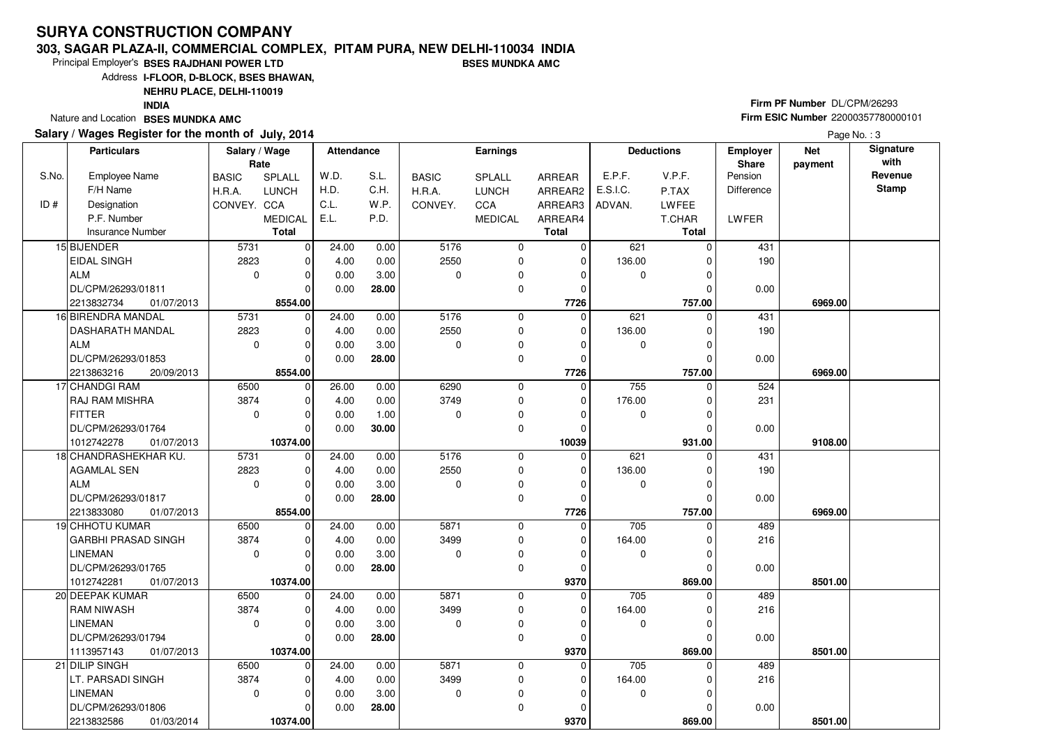#### **303, SAGAR PLAZA-II, COMMERCIAL COMPLEX, PITAM PURA, NEW DELHI-110034 INDIABSES MUNDKA AMC**

10374.00

**10374.00** 01/03/2014

2213832586

Principal Employer's**BSES RAJDHANI POWER LTD**

Address**I-FLOOR, D-BLOCK, BSES BHAWAN,**

**NEHRU PLACE, DELHI-110019**

**INDIA**

Nature and Location **BSES MUNDKA AMC** 

## **Salary / Wages Register for the month of July, 2014**

# **Firm PF Number** DL/CPM/26293 **Firm ESIC Number** <sup>22000357780000101</sup>

 **869.00 8501.00**

Page No.: 3

**BASIC**  H.R.A.CONVEY. CCA SPLALL LUNCH MEDICALARREAR ARREAR2 ARREAR3 ARREAR4**Total**S.No. $ID#$ Employee NameF/H Name Designation P.F. Number Insurance Number**Salary / Wage RateAttendance EarningsBASIC**  H.R.A.**CONVEY** SPLALL LUNCHC<sub>C</sub>A MEDICAL**Total**ADVAN.P.TAX LWFEE T.CHAR **Total**E.P.F. V.P.F. E.S.I.C.Pension DifferenceLWFER**Deductions Employer Share**W.D.H.D.C.L. E.L.S.L.C.H.W<sub>P</sub> P.D.**Net paymentSignature with Revenue StampParticulars** 5731 2823 $\overline{0}$  $\overline{0}$  $\overline{0}$  $\overline{0}$  $\overline{0}$ 8554.00  $\overline{0}$  $\overline{0}$  $\overline{0}$  $\overline{0}$   **7726** $\overline{0}$  5176 2550 $\overline{0}$  $\overline{0}$  $\overline{0}$  $\overline{0}$  $\overline{0}$  $\overline{621}$  0  $\overline{0}$  136.00 $\overline{0}$  $\overline{0}$  $\overline{0}$ 757.00  **757.00 6969.00** 431 190 0.0015 BIJENDER EIDAL SINGHALM DL/CPM/26293/01811 01/07/20132213832734 **8554.00** $\overline{0}$ 24.00 4.00 0.00 0.00 0.00 0.00 3.00 **28.00** 5731 2823 $\overline{0}$  $\overline{0}$  $\overline{0}$  $\overline{\phantom{0}}$ 8554.00  $\overline{0}$  $\overline{0}$  $\overline{0}$   **7726** $\overline{0}$  5176 2550 $\overline{0}$  $\overline{0}$  $\overline{0}$  $\overline{0}$  $\overline{0}$  621 0 $\overline{0}$  136.00 $\overline{0}$  $\overline{0}$  $\overline{0}$ 757.00  **757.00 6969.00** 431 190 0.0016 BIRENDRA MANDAL DASHARATH MANDALALM DL/CPM/26293/01853 20/09/20132213863216 **8554.00** $\overline{0}$  $24.00$  4.00 0.00 0.00 0.00 0.00 3.00 **28.00** 6500 3874 $\overline{0}$  $\overline{0}$  $\overline{0}$  $\overline{\phantom{0}}$ 10374.00  $\overline{0}$  $\overline{0}$  $\overline{0}$   **10039** $\overline{0}$  6290 3749 $\overline{0}$  $\overline{0}$  $\overline{0}$  $\overline{0}$  $\overline{0}$  755 0 $\overline{0}$  176.00 $\overline{0}$  $\overline{0}$  $\overline{0}$ 931.00  **931.00 9108.00** 524 231 0.00<sup>17</sup> CHANDGI RAM RAJ RAM MISHRAFITTER DL/CPM/26293/01764 **10374.00** 01/07/2013101274227826.00 4.00 0.00 0.00 0.00 0.00 1.00 **30.00** 5731 2823 $\overline{0}$  $\Omega$  $\overline{0}$  $\overline{0}$  $\overline{\phantom{0}}$ 8554.00  $\overline{0}$  $\overline{0}$  $\overline{0}$   **7726** $\overline{0}$  5176 2550 $\overline{0}$  $\overline{0}$  $\overline{0}$  $\overline{0}$  $\overline{0}$  621 0 $\overline{0}$  136.00 $\overline{0}$  $\overline{0}$  $\overline{0}$ 757.00  **757.00 6969.00** 431 190 0.0018 CHANDRASHEKHAR KU. AGAMLAL SENALM DL/CPM/26293/01817 01/07/20132213833080 **8554.00** $\overline{0}$ 24.00 4.00 0.00 0.00 0.00 0.00 3.00 **28.00** 6500 3874 $\overline{0}$  $\Omega$  $\Omega$  $\overline{\phantom{0}}$ 10374.00  $\overline{0}$  $\overline{0}$  $\overline{0}$   **9370** $\overline{0}$  5871 3499 $\overline{0}$  0 $\overline{0}$  $\overline{0}$  $\overline{0}$  705 0 $\overline{0}$  164.00 $\overline{0}$  $\overline{0}$  $\overline{0}$ 869.00  **869.00 8501.00** 489 216 0.0019 CHHOTU KUMAR GARBHI PRASAD SINGHLINEMAN DL/CPM/26293/01765 **10374.00** 01/07/2013101274228124.00 4.00 0.00 0.00 0.00 0.00 3.00 **28.00** 6500 3874 $\overline{0}$  $\overline{\phantom{0}}$  $\Omega$  $\Omega$  $\overline{\phantom{0}}$ 10374.00  $\overline{0}$  $\overline{0}$  $\overline{0}$   **9370** $\overline{0}$  5871 3499 $\overline{0}$  0 $\overline{0}$  $\overline{0}$  $\overline{0}$  705 0 $\overline{0}$  164.00 $\overline{0}$  $\overline{0}$  $\overline{0}$ 869.00  **869.00 8501.00** 489 216 0.0020 DEEPAK KUMARRAM NIWASHLINEMAN DL/CPM/26293/01794 **10374.00** 01/07/2013111395714324.00 4.00 0.00 0.00 0.00 0.00 3.00 **28.00** $6500$  3874 $\overline{\phantom{0}}$  $\overline{0}$  $\overline{\phantom{0}}$  $\Omega$  $\overline{\phantom{0}}$  $\overline{0}$  $\overline{0}$  $\overline{0}$ 5871 3499 $\overline{\phantom{0}}$  $\overline{0}$  $\overline{0}$  $\overline{0}$  $\overline{0}$  $\overline{705}$  0  $\overline{0}$  164.00 $\Omega$  $\overline{0}$  $\overline{0}$  489 216 0.0021 DILIP SINGH LT. PARSADI SINGHLINEMAN DL/CPM/26293/01806 $24.00$  4.00 0.00 0.00 $0.00$  0.00 3.00**28.00**

 **9370**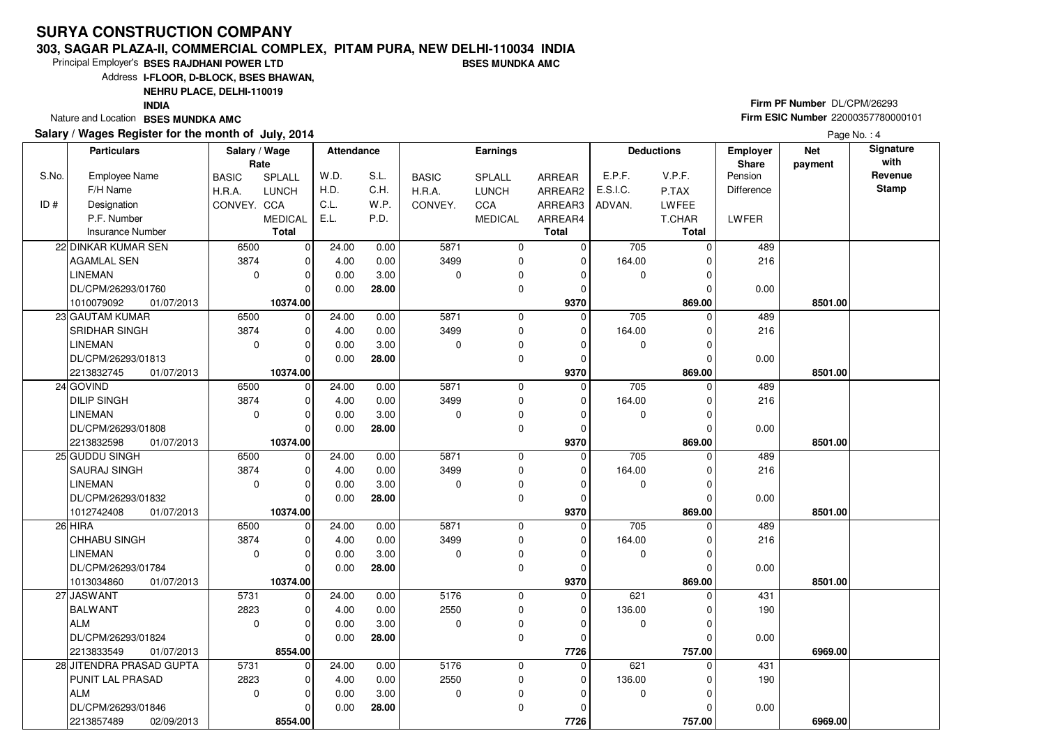### **303, SAGAR PLAZA-II, COMMERCIAL COMPLEX, PITAM PURA, NEW DELHI-110034 INDIABSES MUNDKA AMC**

8554.00

02/09/2013

2213857489 **8554.00**

Principal Employer's**BSES RAJDHANI POWER LTD**

Address**I-FLOOR, D-BLOCK, BSES BHAWAN,**

**NEHRU PLACE, DELHI-110019**

**INDIA**

Nature and Location **BSES MUNDKA AMC** 

## **Salary / Wages Register for the month of July, 2014**

# **Firm PF Number** DL/CPM/26293 **Firm ESIC Number** <sup>22000357780000101</sup>

 **757.00 6969.00**

|       | Salary / Wages Register for the month of July, 2014 |              |                                            |                   |       |              |                |                |                  | Page No.: 4       |                          |                       |                          |
|-------|-----------------------------------------------------|--------------|--------------------------------------------|-------------------|-------|--------------|----------------|----------------|------------------|-------------------|--------------------------|-----------------------|--------------------------|
|       | <b>Particulars</b>                                  |              | Salary / Wage<br><b>Attendance</b><br>Rate |                   |       |              | Earnings       |                |                  | <b>Deductions</b> | <b>Employer</b><br>Share | <b>Net</b><br>payment | <b>Signature</b><br>with |
| S.No. | Employee Name                                       | <b>BASIC</b> | SPLALL                                     | W.D.              | S.L.  | <b>BASIC</b> | SPLALL         | ARREAR         | E.P.F.           | V.P.F.            | Pension                  |                       | Revenue                  |
|       | F/H Name                                            | H.R.A.       | <b>LUNCH</b>                               | H.D.              | C.H.  | H.R.A.       | <b>LUNCH</b>   | ARREAR2        | E.S.I.C.         | P.TAX             | <b>Difference</b>        |                       | <b>Stamp</b>             |
| ID#   | Designation                                         | CONVEY. CCA  |                                            | C.L.              | W.P.  | CONVEY.      | CCA            | ARREAR3        | ADVAN.           | LWFEE             |                          |                       |                          |
|       | P.F. Number                                         |              | <b>MEDICAL</b>                             | E.L.              | P.D.  |              | <b>MEDICAL</b> | ARREAR4        |                  | T.CHAR            | LWFER                    |                       |                          |
|       | <b>Insurance Number</b>                             |              | <b>Total</b>                               |                   |       |              |                | <b>Total</b>   |                  | <b>Total</b>      |                          |                       |                          |
|       | 22 DINKAR KUMAR SEN                                 | 6500         | 0                                          | 24.00             | 0.00  | 5871         | $\mathbf 0$    | 0              | 705              | 0                 | 489                      |                       |                          |
|       | <b>AGAMLAL SEN</b>                                  | 3874         | $\mathbf 0$                                | 4.00              | 0.00  | 3499         | $\mathbf 0$    | 0              | 164.00           | 0                 | 216                      |                       |                          |
|       | <b>LINEMAN</b>                                      | $\mathbf 0$  | $\overline{0}$                             | 0.00              | 3.00  | $\mathbf 0$  | 0              | 0              | $\mathbf 0$      | 0                 |                          |                       |                          |
|       | DL/CPM/26293/01760                                  |              | $\Omega$                                   | 0.00              | 28.00 |              | 0              | $\mathbf 0$    |                  | U                 | 0.00                     |                       |                          |
|       | 1010079092<br>01/07/2013                            |              | 10374.00                                   |                   |       |              |                | 9370           |                  | 869.00            |                          | 8501.00               |                          |
| 23    | <b>GAUTAM KUMAR</b>                                 | 6500         | $\mathbf 0$                                | 24.00             | 0.00  | 5871         | 0              | 0              | 705              | 0                 | 489                      |                       |                          |
|       | SRIDHAR SINGH                                       | 3874         | $\overline{0}$                             | 4.00              | 0.00  | 3499         | $\mathbf 0$    | 0              | 164.00           | 0                 | 216                      |                       |                          |
|       | <b>LINEMAN</b>                                      | $\mathbf 0$  | $\overline{0}$                             | 0.00              | 3.00  | $\Omega$     | 0              | $\overline{0}$ | $\mathbf 0$      | 0                 |                          |                       |                          |
|       | DL/CPM/26293/01813                                  |              | $\Omega$                                   | 0.00              | 28.00 |              | $\mathbf 0$    | $\mathbf 0$    |                  | U                 | 0.00                     |                       |                          |
|       | 2213832745<br>01/07/2013                            |              | 10374.00                                   |                   |       |              |                | 9370           |                  | 869.00            |                          | 8501.00               |                          |
|       | 24 GOVIND                                           | 6500         | $\mathbf 0$                                | 24.00             | 0.00  | 5871         | 0              | $\pmb{0}$      | 705              | 0                 | 489                      |                       |                          |
|       | <b>DILIP SINGH</b>                                  | 3874         | $\overline{0}$                             | 4.00              | 0.00  | 3499         | $\mathbf 0$    | $\mathbf 0$    | 164.00           | 0                 | 216                      |                       |                          |
|       | <b>LINEMAN</b>                                      | $\Omega$     | $\Omega$                                   | 0.00              | 3.00  | $\Omega$     | 0              | 0              | 0                | 0                 |                          |                       |                          |
|       | DL/CPM/26293/01808                                  |              | $\Omega$                                   | 0.00              | 28.00 |              | 0              | 0              |                  | U                 | 0.00                     |                       |                          |
|       | 2213832598<br>01/07/2013                            |              | 10374.00                                   |                   |       |              |                | 9370           |                  | 869.00            |                          | 8501.00               |                          |
|       | 25 GUDDU SINGH                                      | 6500         | $\mathbf 0$                                | 24.00             | 0.00  | 5871         | 0              | $\mathbf 0$    | 705              | 0                 | 489                      |                       |                          |
|       | <b>SAURAJ SINGH</b>                                 | 3874         | $\Omega$                                   | 4.00              | 0.00  | 3499         | 0              | $\mathbf 0$    | 164.00           | 0                 | 216                      |                       |                          |
|       | <b>LINEMAN</b>                                      | $\mathbf 0$  | $\overline{0}$                             | 0.00              | 3.00  | $\mathbf 0$  | 0              | 0              | 0                | 0                 |                          |                       |                          |
|       | DL/CPM/26293/01832                                  |              | $\Omega$                                   | 0.00              | 28.00 |              | 0              | $\mathbf 0$    |                  | O                 | 0.00                     |                       |                          |
|       | 1012742408<br>01/07/2013                            |              | 10374.00                                   |                   |       |              |                | 9370           |                  | 869.00            |                          | 8501.00               |                          |
|       | 26 HIRA                                             | 6500         | $\mathbf 0$                                | 24.00             | 0.00  | 5871         | 0              | $\mathbf 0$    | $\overline{705}$ | n                 | 489                      |                       |                          |
|       | CHHABU SINGH                                        | 3874         | $\mathbf 0$                                | 4.00              | 0.00  | 3499         | 0              | $\mathbf 0$    | 164.00           | 0                 | 216                      |                       |                          |
|       | <b>LINEMAN</b>                                      | $\mathbf 0$  | $\overline{0}$                             | 0.00              | 3.00  | $\mathbf 0$  | 0              | $\mathbf 0$    | $\mathbf 0$      | 0                 |                          |                       |                          |
|       | DL/CPM/26293/01784                                  |              | $\Omega$                                   | 0.00              | 28.00 |              | 0              | 0              |                  | O                 | 0.00                     |                       |                          |
|       | 1013034860<br>01/07/2013                            |              | 10374.00                                   |                   |       |              |                | 9370           |                  | 869.00            |                          | 8501.00               |                          |
|       | 27 JASWANT                                          | 5731         | $\mathbf 0$                                | $\frac{1}{24.00}$ | 0.00  | 5176         | 0              | 0              | 621              | U                 | 431                      |                       |                          |
|       | <b>BALWANT</b>                                      | 2823         | $\overline{0}$                             | 4.00              | 0.00  | 2550         | 0              | 0              | 136.00           | 0                 | 190                      |                       |                          |
|       | <b>ALM</b>                                          | $\mathbf 0$  | $\Omega$                                   | 0.00              | 3.00  | $\mathbf 0$  | 0              | 0              | $\mathbf 0$      | $\Omega$          |                          |                       |                          |
|       | DL/CPM/26293/01824                                  |              | $\Omega$                                   | 0.00              | 28.00 |              | $\mathbf 0$    | $\Omega$       |                  | U                 | 0.00                     |                       |                          |
|       | 2213833549<br>01/07/2013                            |              | 8554.00                                    |                   |       |              |                | 7726           |                  | 757.00            |                          | 6969.00               |                          |
|       | 28 JITENDRA PRASAD GUPTA                            | 5731         | $\mathbf 0$                                | 24.00             | 0.00  | 5176         | 0              | 0              | 621              | U                 | 431                      |                       |                          |
|       | PUNIT LAL PRASAD                                    | 2823         | $\Omega$                                   | 4.00              | 0.00  | 2550         | $\Omega$       | $\mathbf 0$    | 136.00           | 0                 | 190                      |                       |                          |
|       | <b>ALM</b>                                          | $\mathbf 0$  | $\Omega$                                   | 0.00              | 3.00  | $\mathbf 0$  | 0              | $\mathbf 0$    | 0                | 0                 |                          |                       |                          |
|       | DL/CPM/26293/01846                                  |              | $\Omega$                                   | 0.00              | 28.00 |              | $\Omega$       | $\Omega$       |                  | $\Omega$          | 0.00                     |                       |                          |

 **7726**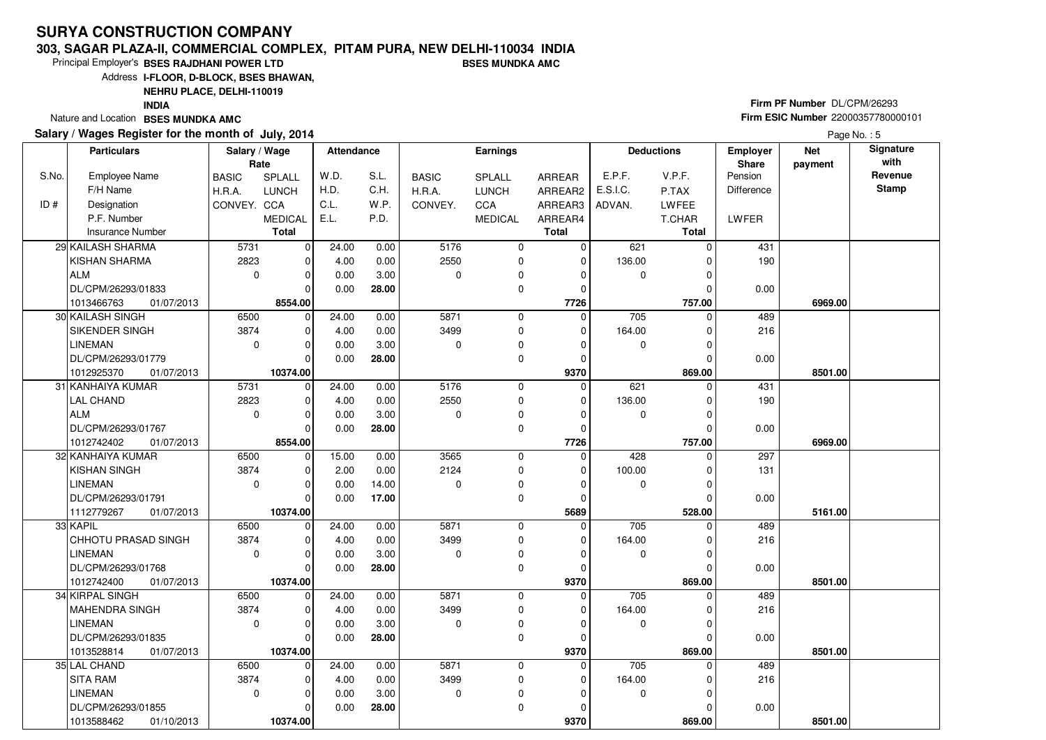### **303, SAGAR PLAZA-II, COMMERCIAL COMPLEX, PITAM PURA, NEW DELHI-110034 INDIABSES MUNDKA AMC**

10374.00

**10374.00** 01/10/2013

1013588462

Principal Employer's**BSES RAJDHANI POWER LTD**

Address**I-FLOOR, D-BLOCK, BSES BHAWAN,**

**NEHRU PLACE, DELHI-110019**

**INDIA**

Nature and Location **BSES MUNDKA AMC** 

## **Salary / Wages Register for the month of July, 2014**

# **Firm PF Number** DL/CPM/26293 **Firm ESIC Number** <sup>22000357780000101</sup>

 **869.00 8501.00**

|       | Salary / Wages Register for the month of July, 2014 |               |                |                   |       |              |                |              |                  |                   | Page No.: 5  |            |              |
|-------|-----------------------------------------------------|---------------|----------------|-------------------|-------|--------------|----------------|--------------|------------------|-------------------|--------------|------------|--------------|
|       | <b>Particulars</b>                                  | Salary / Wage |                | <b>Attendance</b> |       |              | Earnings       |              |                  | <b>Deductions</b> | Employer     | <b>Net</b> | Signature    |
|       |                                                     | Rate          |                |                   |       |              |                |              |                  |                   | Share        | payment    | with         |
| S.No. | <b>Employee Name</b>                                | <b>BASIC</b>  | SPLALL         | W.D.              | S.L.  | <b>BASIC</b> | SPLALL         | ARREAR       | E.P.F.           | V.P.F.            | Pension      |            | Revenue      |
|       | F/H Name                                            | H.R.A.        | <b>LUNCH</b>   | H.D.              | C.H.  | H.R.A.       | <b>LUNCH</b>   | ARREAR2      | E.S.I.C.         | P.TAX             | Difference   |            | <b>Stamp</b> |
| ID#   | Designation                                         | CONVEY. CCA   |                | C.L.              | W.P.  | CONVEY.      | <b>CCA</b>     | ARREAR3      | ADVAN.           | <b>LWFEE</b>      |              |            |              |
|       | P.F. Number                                         |               | <b>MEDICAL</b> | E.L.              | P.D.  |              | <b>MEDICAL</b> | ARREAR4      |                  | T.CHAR            | <b>LWFER</b> |            |              |
|       | <b>Insurance Number</b>                             |               | <b>Total</b>   |                   |       |              |                | <b>Total</b> |                  | <b>Total</b>      |              |            |              |
|       | 29 KAILASH SHARMA                                   | 5731          | 0              | 24.00             | 0.00  | 5176         | 0              | 0            | 621              | 0                 | 431          |            |              |
|       | KISHAN SHARMA                                       | 2823          | $\Omega$       | 4.00              | 0.00  | 2550         | 0              | 0            | 136.00           | 0                 | 190          |            |              |
|       | <b>ALM</b>                                          | $\mathbf 0$   | $\mathbf 0$    | 0.00              | 3.00  | $\mathbf 0$  | 0              | $\Omega$     | $\Omega$         | $\Omega$          |              |            |              |
|       | DL/CPM/26293/01833                                  |               | $\Omega$       | 0.00              | 28.00 |              | 0              | $\mathbf 0$  |                  | $\Omega$          | 0.00         |            |              |
|       | 1013466763<br>01/07/2013                            |               | 8554.00        |                   |       |              |                | 7726         |                  | 757.00            |              | 6969.00    |              |
|       | 30 KAILASH SINGH                                    | 6500          | $\mathbf 0$    | 24.00             | 0.00  | 5871         | 0              | 0            | 705              | 0                 | 489          |            |              |
|       | SIKENDER SINGH                                      | 3874          | $\Omega$       | 4.00              | 0.00  | 3499         | $\mathbf 0$    | $\mathbf 0$  | 164.00           | $\Omega$          | 216          |            |              |
|       | <b>LINEMAN</b>                                      | $\Omega$      | $\Omega$       | 0.00              | 3.00  | $\mathbf 0$  | 0              | $\Omega$     | $\Omega$         | $\Omega$          |              |            |              |
|       | DL/CPM/26293/01779                                  |               | $\Omega$       | 0.00              | 28.00 |              | 0              | $\Omega$     |                  | $\Omega$          | 0.00         |            |              |
|       | 1012925370<br>01/07/2013                            |               | 10374.00       |                   |       |              |                | 9370         |                  | 869.00            |              | 8501.00    |              |
|       | 31 KANHAIYA KUMAR                                   | 5731          | $\mathbf 0$    | 24.00             | 0.00  | 5176         | 0              | 0            | 621              | 0                 | 431          |            |              |
|       | <b>LAL CHAND</b>                                    | 2823          | $\Omega$       | 4.00              | 0.00  | 2550         | $\mathbf 0$    | $\mathbf 0$  | 136.00           | $\Omega$          | 190          |            |              |
|       | <b>ALM</b>                                          | $\mathbf 0$   | $\Omega$       | 0.00              | 3.00  | $\mathbf 0$  | 0              | $\Omega$     | $\Omega$         | $\mathbf 0$       |              |            |              |
|       | DL/CPM/26293/01767                                  |               | $\Omega$       | 0.00              | 28.00 |              | 0              | $\Omega$     |                  | $\Omega$          | 0.00         |            |              |
|       | 1012742402<br>01/07/2013                            |               | 8554.00        |                   |       |              |                | 7726         |                  | 757.00            |              | 6969.00    |              |
|       | 32 KANHAIYA KUMAR                                   | 6500          | 0              | 15.00             | 0.00  | 3565         | $\mathbf 0$    | 0            | 428              | 0                 | 297          |            |              |
|       | KISHAN SINGH                                        | 3874          | $\Omega$       | 2.00              | 0.00  | 2124         | 0              | $\Omega$     | 100.00           | $\mathbf 0$       | 131          |            |              |
|       | <b>LINEMAN</b>                                      | 0             | $\Omega$       | 0.00              | 14.00 | $\mathbf 0$  | 0              | $\Omega$     | $\mathbf 0$      | $\Omega$          |              |            |              |
|       | DL/CPM/26293/01791                                  |               | $\Omega$       | 0.00              | 17.00 |              | 0              | $\Omega$     |                  | $\Omega$          | 0.00         |            |              |
|       | 1112779267<br>01/07/2013                            |               | 10374.00       |                   |       |              |                | 5689         |                  | 528.00            |              | 5161.00    |              |
|       | 33 KAPIL                                            | 6500          | $\Omega$       | 24.00             | 0.00  | 5871         | $\mathbf 0$    | $\Omega$     | 705              |                   | 489          |            |              |
|       | CHHOTU PRASAD SINGH                                 | 3874          | $\Omega$       | 4.00              | 0.00  | 3499         | 0              | $\Omega$     | 164.00           | $\Omega$          | 216          |            |              |
|       | <b>LINEMAN</b>                                      | $\mathbf 0$   | $\Omega$       | 0.00              | 3.00  | $\mathbf 0$  | 0              | $\Omega$     | $\Omega$         | $\Omega$          |              |            |              |
|       | DL/CPM/26293/01768                                  |               | $\Omega$       | 0.00              | 28.00 |              | 0              | $\Omega$     |                  | $\Omega$          | 0.00         |            |              |
|       | 1012742400<br>01/07/2013                            |               | 10374.00       |                   |       |              |                | 9370         |                  | 869.00            |              | 8501.00    |              |
|       | 34 KIRPAL SINGH                                     | 6500          | $\mathbf 0$    | 24.00             | 0.00  | 5871         | $\mathbf 0$    | $\Omega$     | 705              | $\Omega$          | 489          |            |              |
|       | MAHENDRA SINGH                                      | 3874          | $\mathbf 0$    | 4.00              | 0.00  | 3499         | 0              | $\mathbf 0$  | 164.00           | $\Omega$          | 216          |            |              |
|       | <b>LINEMAN</b>                                      | $\mathbf 0$   | $\Omega$       | 0.00              | 3.00  | $\mathbf 0$  | 0              | $\Omega$     | $\Omega$         | $\Omega$          |              |            |              |
|       | DL/CPM/26293/01835                                  |               | $\Omega$       | 0.00              | 28.00 |              | 0              | $\Omega$     |                  | $\Omega$          | 0.00         |            |              |
|       | 1013528814<br>01/07/2013                            |               | 10374.00       |                   |       |              |                | 9370         |                  | 869.00            |              | 8501.00    |              |
|       | 35 LAL CHAND                                        | 6500          | $\mathbf 0$    | 24.00             | 0.00  | 5871         | $\mathbf 0$    | $\Omega$     | $\overline{705}$ | $\Omega$          | 489          |            |              |
|       | <b>SITA RAM</b>                                     | 3874          | $\Omega$       | 4.00              | 0.00  | 3499         | 0              | $\mathbf 0$  | 164.00           | 0                 | 216          |            |              |
|       | <b>LINEMAN</b>                                      | 0             | $\Omega$       | 0.00              | 3.00  | $\mathbf 0$  | $\Omega$       | $\Omega$     | $\mathbf 0$      | $\mathbf 0$       |              |            |              |
|       | DL/CPM/26293/01855                                  |               | 0              | 0.00              | 28.00 |              | $\Omega$       | $\mathbf 0$  |                  | $\mathbf 0$       | 0.00         |            |              |

 **9370**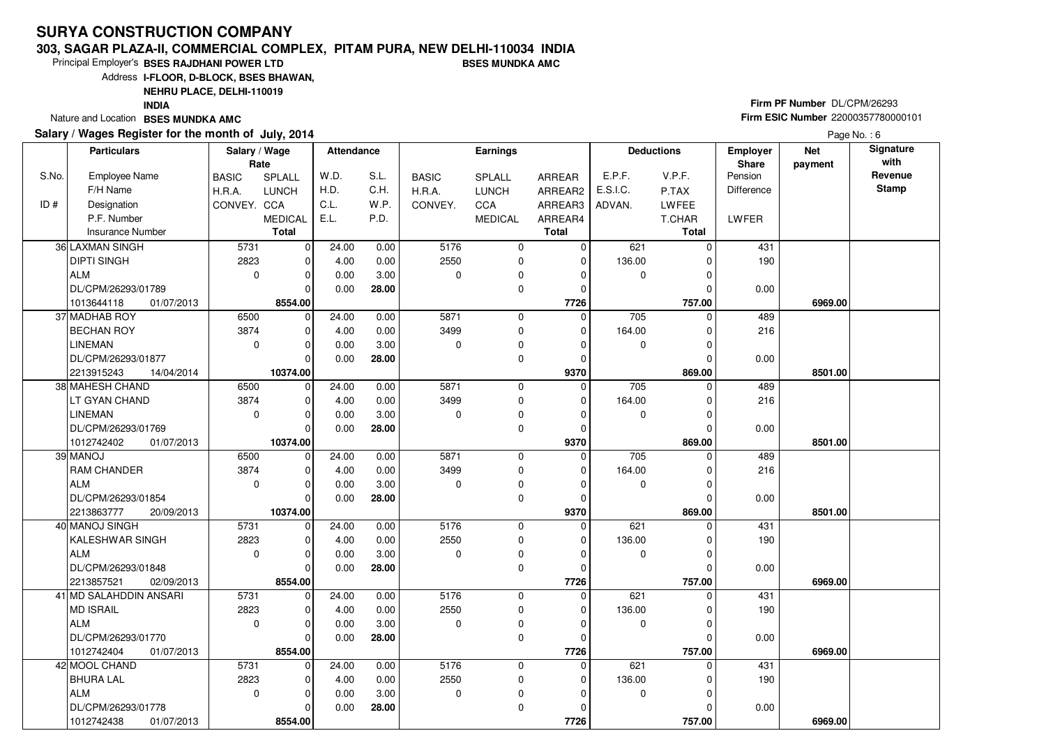### **303, SAGAR PLAZA-II, COMMERCIAL COMPLEX, PITAM PURA, NEW DELHI-110034 INDIABSES MUNDKA AMC**

8554.00

01/07/2013

1012742438 **8554.00**

Principal Employer's**BSES RAJDHANI POWER LTD**

Address**I-FLOOR, D-BLOCK, BSES BHAWAN,**

**NEHRU PLACE, DELHI-110019**

**INDIA**

Nature and Location **BSES MUNDKA AMC** 

## **Salary / Wages Register for the month of July, 2014**

# **Firm PF Number** DL/CPM/26293 **Firm ESIC Number** <sup>22000357780000101</sup>

 **757.00 6969.00**

|       | Salary / Wages Register for the month of July, 2014 |               |              |                   |       |              |                 |              |             |                   |                 |            | Page No.: 6  |
|-------|-----------------------------------------------------|---------------|--------------|-------------------|-------|--------------|-----------------|--------------|-------------|-------------------|-----------------|------------|--------------|
|       | <b>Particulars</b>                                  | Salary / Wage |              | <b>Attendance</b> |       |              | <b>Earnings</b> |              |             | <b>Deductions</b> | <b>Employer</b> | <b>Net</b> | Signature    |
|       |                                                     | Rate          |              |                   |       |              |                 |              |             |                   | <b>Share</b>    | payment    | with         |
| S.No. | Employee Name                                       | <b>BASIC</b>  | SPLALL       | W.D.              | S.L.  | <b>BASIC</b> | SPLALL          | ARREAR       | E.P.F.      | V.P.F.            | Pension         |            | Revenue      |
|       | F/H Name                                            | H.R.A.        | <b>LUNCH</b> | H.D.              | C.H.  | H.R.A.       | <b>LUNCH</b>    | ARREAR2      | E.S.I.C.    | P.TAX             | Difference      |            | <b>Stamp</b> |
| ID#   | Designation                                         | CONVEY. CCA   |              | C.L.              | W.P.  | CONVEY.      | CCA             | ARREAR3      | ADVAN.      | LWFEE             |                 |            |              |
|       | P.F. Number                                         |               | MEDICAL      | E.L.              | P.D.  |              | <b>MEDICAL</b>  | ARREAR4      |             | T.CHAR            | LWFER           |            |              |
|       | Insurance Number                                    |               | <b>Total</b> |                   |       |              |                 | <b>Total</b> |             | <b>Total</b>      |                 |            |              |
|       | 36 LAXMAN SINGH                                     | 5731          | $\mathbf 0$  | 24.00             | 0.00  | 5176         | $\mathbf 0$     | $\Omega$     | 621         | $\Omega$          | 431             |            |              |
|       | <b>DIPTI SINGH</b>                                  | 2823          | 0            | 4.00              | 0.00  | 2550         | 0               | $\Omega$     | 136.00      | 0                 | 190             |            |              |
|       | <b>ALM</b>                                          | $\mathbf 0$   | $\mathsf 0$  | 0.00              | 3.00  | $\mathbf 0$  | 0               | $\Omega$     | $\mathbf 0$ | 0                 |                 |            |              |
|       | DL/CPM/26293/01789                                  |               | $\Omega$     | 0.00              | 28.00 |              | 0               | 0            |             | U                 | 0.00            |            |              |
|       | 1013644118<br>01/07/2013                            |               | 8554.00      |                   |       |              |                 | 7726         |             | 757.00            |                 | 6969.00    |              |
|       | 37 MADHAB ROY                                       | 6500          | $\Omega$     | 24.00             | 0.00  | 5871         | $\mathbf 0$     | $\Omega$     | 705         | $\Omega$          | 489             |            |              |
|       | <b>BECHAN ROY</b>                                   | 3874          | 0            | 4.00              | 0.00  | 3499         | 0               | $\Omega$     | 164.00      | $\Omega$          | 216             |            |              |
|       | <b>LINEMAN</b>                                      | $\mathbf 0$   | 0            | 0.00              | 3.00  | $\mathbf 0$  | 0               | $\Omega$     | $\mathbf 0$ | 0                 |                 |            |              |
|       | DL/CPM/26293/01877                                  |               | $\Omega$     | 0.00              | 28.00 |              | 0               |              |             | 0                 | 0.00            |            |              |
|       | 2213915243<br>14/04/2014                            |               | 10374.00     |                   |       |              |                 | 9370         |             | 869.00            |                 | 8501.00    |              |
|       | 38 MAHESH CHAND                                     | 6500          | $\mathbf 0$  | 24.00             | 0.00  | 5871         | 0               | $\Omega$     | 705         | 0                 | 489             |            |              |
|       | LT GYAN CHAND                                       | 3874          | 0            | 4.00              | 0.00  | 3499         | 0               | $\Omega$     | 164.00      | 0                 | 216             |            |              |
|       | <b>LINEMAN</b>                                      | $\mathbf 0$   | 0            | 0.00              | 3.00  | $\mathbf 0$  | 0               | $\Omega$     | $\Omega$    | $\Omega$          |                 |            |              |
|       | DL/CPM/26293/01769                                  |               | $\Omega$     | 0.00              | 28.00 |              | 0               | $\Omega$     |             | 0                 | 0.00            |            |              |
|       | 1012742402<br>01/07/2013                            |               | 10374.00     |                   |       |              |                 | 9370         |             | 869.00            |                 | 8501.00    |              |
|       | 39 MANOJ                                            | 6500          | $\mathbf 0$  | 24.00             | 0.00  | 5871         | $\mathbf 0$     | $\Omega$     | 705         | $\mathbf 0$       | 489             |            |              |
|       | RAM CHANDER                                         | 3874          | 0            | 4.00              | 0.00  | 3499         | 0               | $\Omega$     | 164.00      | $\Omega$          | 216             |            |              |
|       | <b>ALM</b>                                          | 0             | 0            | 0.00              | 3.00  | 0            | 0               | $\Omega$     | 0           | 0                 |                 |            |              |
|       | DL/CPM/26293/01854                                  |               | $\Omega$     | 0.00              | 28.00 |              | 0               | $\Omega$     |             | $\Omega$          | 0.00            |            |              |
|       | 2213863777<br>20/09/2013                            |               | 10374.00     |                   |       |              |                 | 9370         |             | 869.00            |                 | 8501.00    |              |
|       | 40 MANOJ SINGH                                      | 5731          | $\mathbf 0$  | 24.00             | 0.00  | 5176         | $\mathbf 0$     | $\mathbf 0$  | 621         | $\mathbf 0$       | 431             |            |              |
|       | KALESHWAR SINGH                                     | 2823          | 0            | 4.00              | 0.00  | 2550         | 0               | $\Omega$     | 136.00      | $\Omega$          | 190             |            |              |
|       | <b>ALM</b>                                          | 0             | 0            | 0.00              | 3.00  | 0            | 0               | $\Omega$     | $\mathbf 0$ | $\Omega$          |                 |            |              |
|       | DL/CPM/26293/01848                                  |               | $\Omega$     | 0.00              | 28.00 |              | 0               | $\Omega$     |             | 0                 | 0.00            |            |              |
|       | 2213857521<br>02/09/2013                            |               | 8554.00      |                   |       |              |                 | 7726         |             | 757.00            |                 | 6969.00    |              |
|       | 41 MD SALAHDDIN ANSARI                              | 5731          | $\mathbf 0$  | 24.00             | 0.00  | 5176         | 0               | $\mathbf 0$  | 621         | $\mathbf 0$       | 431             |            |              |
|       | <b>MD ISRAIL</b>                                    | 2823          | $\mathbf 0$  | 4.00              | 0.00  | 2550         | 0               | $\Omega$     | 136.00      | $\Omega$          | 190             |            |              |
|       | <b>ALM</b>                                          | 0             | $\mathbf 0$  | 0.00              | 3.00  | 0            | 0               | $\Omega$     | $\mathbf 0$ | 0                 |                 |            |              |
|       | DL/CPM/26293/01770                                  |               | $\Omega$     | 0.00              | 28.00 |              | 0               | $\Omega$     |             | 0                 | 0.00            |            |              |
|       | 1012742404<br>01/07/2013                            |               | 8554.00      |                   |       |              |                 | 7726         |             | 757.00            |                 | 6969.00    |              |
|       | 42 MOOL CHAND                                       | 5731          | $\mathbf 0$  | 24.00             | 0.00  | 5176         | $\mathbf 0$     | $\mathbf 0$  | 621         | $\mathbf 0$       | 431             |            |              |
|       | <b>BHURA LAL</b>                                    | 2823          | 0            | 4.00              | 0.00  | 2550         | 0               | $\Omega$     | 136.00      | 0                 | 190             |            |              |
|       | <b>ALM</b>                                          | $\mathbf 0$   | 0            | 0.00              | 3.00  | 0            | 0               | $\Omega$     | $\mathbf 0$ | 0                 |                 |            |              |
|       | DL/CPM/26293/01778                                  |               | $\Omega$     | 0.00              | 28.00 |              | 0               | $\Omega$     |             | $\Omega$          | 0.00            |            |              |

 **7726**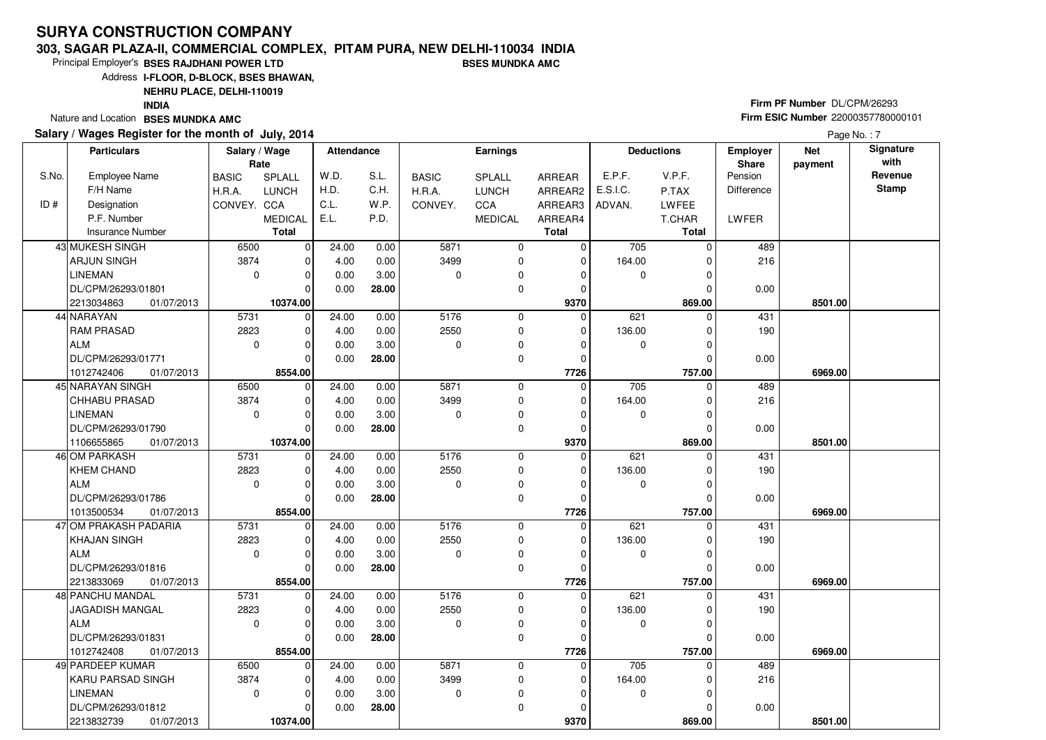### **303, SAGAR PLAZA-II, COMMERCIAL COMPLEX, PITAM PURA, NEW DELHI-110034 INDIABSES MUNDKA AMC**

 $\overline{0}$ 10374.00 0.00 **28.00**

**10374.00** 01/07/2013

Principal Employer's**BSES RAJDHANI POWER LTD**

Address**I-FLOOR, D-BLOCK, BSES BHAWAN,**

**NEHRU PLACE, DELHI-110019**

**INDIA**

Nature and Location **BSES MUNDKA AMC** 

DL/CPM/26293/01812

2213832739

## **Salary / Wages Register for the month of July, 2014**

# **Firm PF Number** DL/CPM/26293 **Firm ESIC Number** <sup>22000357780000101</sup>

 **869.00 8501.00**

| Salary / Wages Register for the month of July, 2014 |                          |               |                |                   |       |              |                 |               |                  | Page No.: 7       |                          |                       |                   |
|-----------------------------------------------------|--------------------------|---------------|----------------|-------------------|-------|--------------|-----------------|---------------|------------------|-------------------|--------------------------|-----------------------|-------------------|
|                                                     | <b>Particulars</b>       | Salary / Wage | Rate           | <b>Attendance</b> |       |              | <b>Earnings</b> |               |                  | <b>Deductions</b> | <b>Employer</b><br>Share | <b>Net</b><br>payment | Signature<br>with |
| S.No.                                               | Employee Name            | <b>BASIC</b>  | SPLALL         | W.D.              | S.L.  | <b>BASIC</b> | SPLALL          | <b>ARREAR</b> | E.P.F.           | V.P.F.            | Pension                  |                       | Revenue           |
|                                                     | F/H Name                 | H.R.A.        | <b>LUNCH</b>   | H.D.              | C.H.  | H.R.A.       | <b>LUNCH</b>    | ARREAR2       | E.S.I.C.         | P.TAX             | Difference               |                       | <b>Stamp</b>      |
| ID#                                                 | Designation              | CONVEY. CCA   |                | C.L.              | W.P.  | CONVEY.      | <b>CCA</b>      | ARREAR3       | ADVAN.           | LWFEE             |                          |                       |                   |
|                                                     | P.F. Number              |               | <b>MEDICAL</b> | E.L.              | P.D.  |              | <b>MEDICAL</b>  | ARREAR4       |                  | T.CHAR            | LWFER                    |                       |                   |
|                                                     | Insurance Number         |               | <b>Total</b>   |                   |       |              |                 | <b>Total</b>  |                  | <b>Total</b>      |                          |                       |                   |
|                                                     | 43 MUKESH SINGH          | 6500          | $\mathbf 0$    | 24.00             | 0.00  | 5871         | $\mathbf 0$     | $\Omega$      | 705              | $\Omega$          | 489                      |                       |                   |
|                                                     | <b>ARJUN SINGH</b>       | 3874          | $\Omega$       | 4.00              | 0.00  | 3499         | $\mathbf 0$     | $\Omega$      | 164.00           | O                 | 216                      |                       |                   |
|                                                     | <b>LINEMAN</b>           | $\Omega$      | $\Omega$       | 0.00              | 3.00  | $\Omega$     | 0               |               | $\Omega$         | $\Omega$          |                          |                       |                   |
|                                                     | DL/CPM/26293/01801       |               | $\Omega$       | 0.00              | 28.00 |              | 0               | O             |                  | 0                 | 0.00                     |                       |                   |
|                                                     | 2213034863<br>01/07/2013 |               | 10374.00       |                   |       |              |                 | 9370          |                  | 869.00            |                          | 8501.00               |                   |
|                                                     | 44 NARAYAN               | 5731          | $\mathbf 0$    | 24.00             | 0.00  | 5176         | $\mathbf 0$     | 0             | 621              | $\Omega$          | 431                      |                       |                   |
|                                                     | <b>RAM PRASAD</b>        | 2823          | $\mathbf 0$    | 4.00              | 0.00  | 2550         | 0               |               | 136.00           | 0                 | 190                      |                       |                   |
|                                                     | <b>ALM</b>               | 0             | $\mathbf 0$    | 0.00              | 3.00  | 0            | 0               | $\Omega$      | $\Omega$         | 0                 |                          |                       |                   |
|                                                     | DL/CPM/26293/01771       |               | $\Omega$       | 0.00              | 28.00 |              | $\mathbf 0$     | $\Omega$      |                  | $\Omega$          | 0.00                     |                       |                   |
|                                                     | 1012742406<br>01/07/2013 |               | 8554.00        |                   |       |              |                 | 7726          |                  | 757.00            |                          | 6969.00               |                   |
|                                                     | 45 NARAYAN SINGH         | 6500          | $\mathbf 0$    | 24.00             | 0.00  | 5871         | $\mathbf 0$     | 0             | 705              | 0                 | 489                      |                       |                   |
|                                                     | <b>CHHABU PRASAD</b>     | 3874          | $\mathbf 0$    | 4.00              | 0.00  | 3499         | 0               | $\Omega$      | 164.00           | $\Omega$          | 216                      |                       |                   |
|                                                     | <b>LINEMAN</b>           | $\Omega$      | $\Omega$       | 0.00              | 3.00  | $\Omega$     | 0               | O             | $\Omega$         | O                 |                          |                       |                   |
|                                                     | DL/CPM/26293/01790       |               | $\Omega$       | 0.00              | 28.00 |              | 0               |               |                  | 0                 | 0.00                     |                       |                   |
|                                                     | 1106655865<br>01/07/2013 |               | 10374.00       |                   |       |              |                 | 9370          |                  | 869.00            |                          | 8501.00               |                   |
|                                                     | 46 OM PARKASH            | 5731          | $\mathbf 0$    | 24.00             | 0.00  | 5176         | $\mathbf 0$     | $\Omega$      | 621              | $\Omega$          | 431                      |                       |                   |
|                                                     | <b>KHEM CHAND</b>        | 2823          | $\mathbf 0$    | 4.00              | 0.00  | 2550         | $\Omega$        | 0             | 136.00           | 0                 | 190                      |                       |                   |
|                                                     | <b>ALM</b>               | 0             | $\mathbf 0$    | 0.00              | 3.00  | $\mathbf 0$  | 0               | 0             | $\Omega$         | 0                 |                          |                       |                   |
|                                                     | DL/CPM/26293/01786       |               | $\Omega$       | 0.00              | 28.00 |              | $\mathbf 0$     | O             |                  | $\Omega$          | 0.00                     |                       |                   |
|                                                     | 1013500534<br>01/07/2013 |               | 8554.00        |                   |       |              |                 | 7726          |                  | 757.00            |                          | 6969.00               |                   |
|                                                     | 47 OM PRAKASH PADARIA    | 5731          | $\Omega$       | 24.00             | 0.00  | 5176         | $\mathbf 0$     | $\Omega$      | 621              | $\Omega$          | 431                      |                       |                   |
|                                                     | <b>KHAJAN SINGH</b>      | 2823          | $\mathbf 0$    | 4.00              | 0.00  | 2550         | 0               | 0             | 136.00           | 0                 | 190                      |                       |                   |
|                                                     | <b>ALM</b>               | $\Omega$      | $\mathbf 0$    | 0.00              | 3.00  | $\Omega$     | 0               | $\Omega$      | $\mathbf 0$      | $\Omega$          |                          |                       |                   |
|                                                     | DL/CPM/26293/01816       |               | $\Omega$       | 0.00              | 28.00 |              | $\mathbf 0$     |               |                  | 0                 | 0.00                     |                       |                   |
|                                                     | 01/07/2013<br>2213833069 |               | 8554.00        |                   |       |              |                 | 7726          |                  | 757.00            |                          | 6969.00               |                   |
|                                                     | 48 PANCHU MANDAL         | 5731          | $\Omega$       | 24.00             | 0.00  | 5176         | $\mathbf 0$     | $\Omega$      | 621              | $\Omega$          | 431                      |                       |                   |
|                                                     | JAGADISH MANGAL          | 2823          | $\mathbf 0$    | 4.00              | 0.00  | 2550         | 0               | $\Omega$      | 136.00           | 0                 | 190                      |                       |                   |
|                                                     | <b>ALM</b>               | $\mathbf 0$   | $\pmb{0}$      | 0.00              | 3.00  | 0            | 0               | 0             | $\mathbf 0$      | 0                 |                          |                       |                   |
|                                                     | DL/CPM/26293/01831       |               | $\Omega$       | 0.00              | 28.00 |              | $\Omega$        | $\Omega$      |                  | $\Omega$          | 0.00                     |                       |                   |
|                                                     | 1012742408<br>01/07/2013 |               | 8554.00        |                   |       |              |                 | 7726          |                  | 757.00            |                          | 6969.00               |                   |
|                                                     | 49 PARDEEP KUMAR         | 6500          | $\Omega$       | 24.00             | 0.00  | 5871         | $\mathbf 0$     | $\Omega$      | $\overline{705}$ | $\Omega$          | 489                      |                       |                   |
|                                                     | KARU PARSAD SINGH        | 3874          | $\mathbf 0$    | 4.00              | 0.00  | 3499         | $\mathbf 0$     |               | 164.00           | 0                 | 216                      |                       |                   |
|                                                     | <b>LINEMAN</b>           | $\Omega$      | $\Omega$       | 0.00              | 3.00  | $\Omega$     | $\Omega$        | $\Omega$      | $\Omega$         | $\Omega$          |                          |                       |                   |

 $\overline{0}$  **9370**

 $\overline{0}$ 869.00 0.00

 $\overline{0}$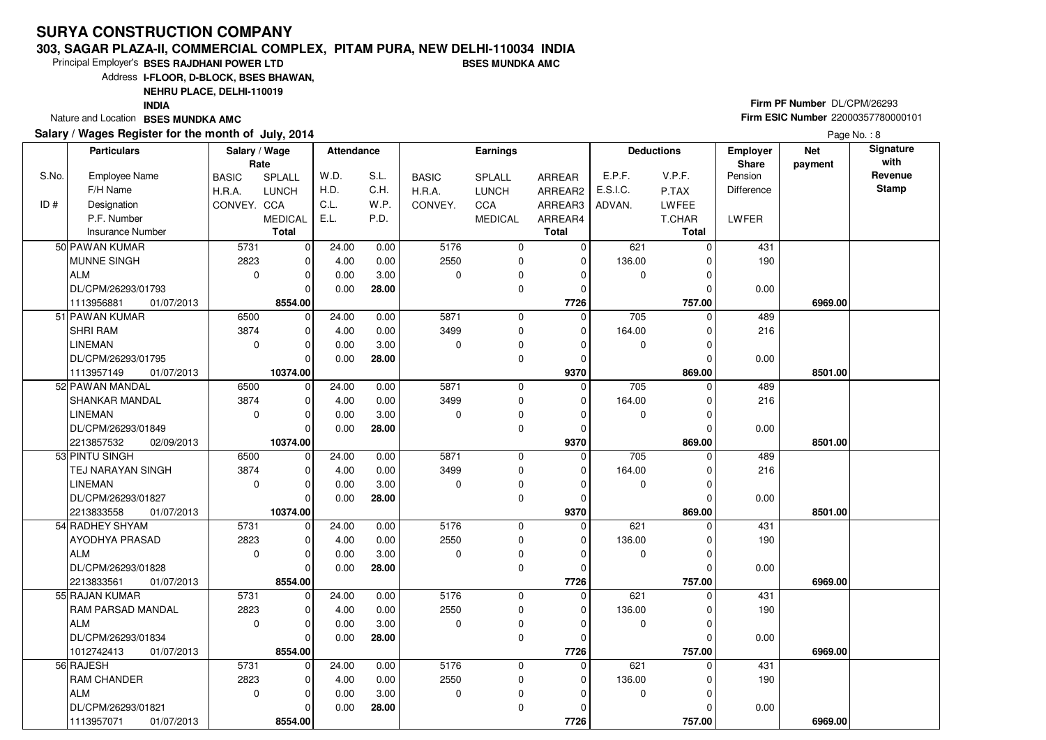#### **303, SAGAR PLAZA-II, COMMERCIAL COMPLEX, PITAM PURA, NEW DELHI-110034 INDIABSES MUNDKA AMC**

8554.00

01/07/2013

1113957071 **8554.00**

Principal Employer's**BSES RAJDHANI POWER LTD**

Address**I-FLOOR, D-BLOCK, BSES BHAWAN,**

**NEHRU PLACE, DELHI-110019**

**INDIA**

Nature and Location **BSES MUNDKA AMC** 

## **Salary / Wages Register for the month of July, 2014**

# **Firm PF Number** DL/CPM/26293 **Firm ESIC Number** <sup>22000357780000101</sup>

 **757.00 6969.00**

Page No.: 8

**BASIC**  H.R.A.CONVEY. CCA SPLALL LUNCH MEDICALARREAR ARREAR2 ARREAR3 ARREAR4**Total**S.No. $ID#$ Employee NameF/H Name Designation P.F. NumberInsurance Number**Salary / Wage RateAttendance EarningsBASIC**  H.R.A.**CONVEY** SPLALL LUNCHC<sub>C</sub>A MEDICAL**Total**ADVAN.P.TAX LWFEE T.CHAR **Total**E.P.F. V.P.F. E.S.I.C.Pension DifferenceLWFER**Deductions Employer Share**W.D.H.D.C.L. E.L.S.L.C.H.W<sub>P</sub> P.D.**Net paymentSignature with Revenue StampParticulars** 5731 2823 $\overline{0}$  $\overline{0}$  $\overline{0}$  $\overline{0}$  $\overline{0}$ 8554.00  $\overline{0}$  $\overline{0}$  $\overline{0}$  $\overline{0}$   **7726** $\overline{0}$  5176 2550 $\overline{0}$  $\overline{0}$  $\overline{0}$  $\overline{0}$  $\overline{0}$  $\overline{621}$  0  $\overline{0}$  136.00 $\overline{0}$  $\overline{0}$  $\overline{0}$ 757.00  **757.00 6969.00** 431 190 0.0050 PAWAN KUMAR MUNNE SINGHALM DL/CPM/26293/01793 1113956881 **8554.00**01/07/2013 $\overline{0}$ 24.00 4.00 0.00 0.00 0.00 0.00 3.00 **28.00** 6500 3874 $\overline{0}$  $\overline{0}$  $\overline{0}$  $\overline{\phantom{0}}$ 10374.00  $\overline{0}$  $\overline{0}$  $\overline{0}$   **9370** $\overline{0}$  5871 3499 $\overline{0}$  $\overline{0}$  $\overline{0}$  $\overline{0}$  $\overline{0}$  705 0 $\overline{0}$  164.00 $\overline{0}$  $\overline{0}$  $\overline{0}$ 869.00  **869.00 8501.00** 489 216 0.0051 PAWAN KUMARSHRI RAM LINEMAN DL/CPM/26293/01795 **10374.00** 01/07/20131113957149 $24.00$  4.00 0.00 0.00 0.00 0.00 3.00 **28.00** 6500 3874 $\overline{0}$  $\Omega$  $\overline{0}$  $\overline{0}$  $\overline{\phantom{0}}$ 10374.00  $\overline{0}$  $\overline{0}$  $\overline{0}$   **9370** $\overline{0}$  5871 3499 $\overline{0}$  $\overline{0}$  $\overline{0}$  $\overline{0}$  $\overline{0}$  705 0 $\overline{0}$  164.00 $\overline{0}$  $\overline{0}$  $\overline{0}$ 869.00  **869.00 8501.00** 489 216 0.0052 PAWAN MANDAL SHANKAR MANDALLINEMAN DL/CPM/26293/01849 **10374.00** 02/09/2013221385753224.00 4.00 0.00 0.00 0.00 0.00 3.00 **28.00** 6500 3874 $\overline{\phantom{0}}$  $\Omega$  $\overline{0}$  $\overline{\phantom{0}}$  $\overline{\phantom{0}}$ 10374.00  $\overline{0}$  $\overline{0}$  $\overline{0}$   **9370** $\overline{0}$  5871 3499 $\overline{\phantom{0}}$  $\overline{0}$  $\overline{0}$  $\overline{0}$  $\overline{0}$  705 0 $\overline{0}$  164.00 $\overline{0}$  $\overline{0}$  $\overline{0}$ 869.00  **869.00 8501.00** 489 216 0.0053 PINTU SINGH TEJ NARAYAN SINGHLINEMAN DL/CPM/26293/01827 **10374.00** 01/07/2013221383355824.00 4.00 0.00 0.00 0.00 0.00 3.00 **28.00** 5731 2823 $\overline{0}$  $\Omega$  $\Omega$  $\Omega$  $\Omega$ 8554.00  $\overline{0}$  $\overline{0}$  $\overline{0}$   **7726** $\overline{0}$  5176 2550 $\overline{0}$  0 $\overline{0}$  $\overline{0}$  $\overline{0}$ 621 0  $\overline{0}$  136.00 $\overline{0}$  $\overline{0}$  $\overline{0}$ 757.00  **757.00 6969.00** 431 190 0.0054 RADHEY SHYAM AYODHYA PRASADALM DL/CPM/26293/01828 01/07/20132213833561 **8554.00**24.00 4.00 0.00 0.00 0.00 0.00 3.00 **28.00** 5731 2823 $\overline{0}$  $\overline{\phantom{0}}$  $\Omega$  $\Omega$  $\overline{\phantom{0}}$ 8554.00  $\overline{0}$  $\overline{0}$  $\overline{0}$   **7726** $\overline{0}$  5176 2550 $\overline{0}$  0 $\overline{0}$  $\overline{0}$  $\overline{0}$  621 0 $\overline{0}$  136.00 $\overline{0}$  $\overline{0}$  $\overline{0}$ 757.00  **757.00 6969.00** 431 190 0.0055 RAJAN KUMAR RAM PARSAD MANDALALM DL/CPM/26293/01834 01/07/20131012742413 **8554.00**24.00 4.00 0.00 0.00 0.00 0.00 3.00 **28.00** 5731 2823 $\overline{\phantom{0}}$  $\overline{0}$  $\overline{\phantom{0}}$  $\Omega$  $\overline{\phantom{0}}$  $\overline{0}$  $\overline{0}$  $\overline{0}$ 5176 2550 $\overline{\phantom{0}}$  $\overline{0}$  $\overline{0}$  $\overline{0}$  $\overline{0}$  $621$  0  $\overline{0}$  136.00 $\Omega$  $\overline{0}$  $\overline{0}$  431 190 0.0056 RAJESH RAM CHANDERALM DL/CPM/26293/01821 $24.00$  4.00 0.00 0.00 $0.00$  0.00 3.00**28.00**

 **7726**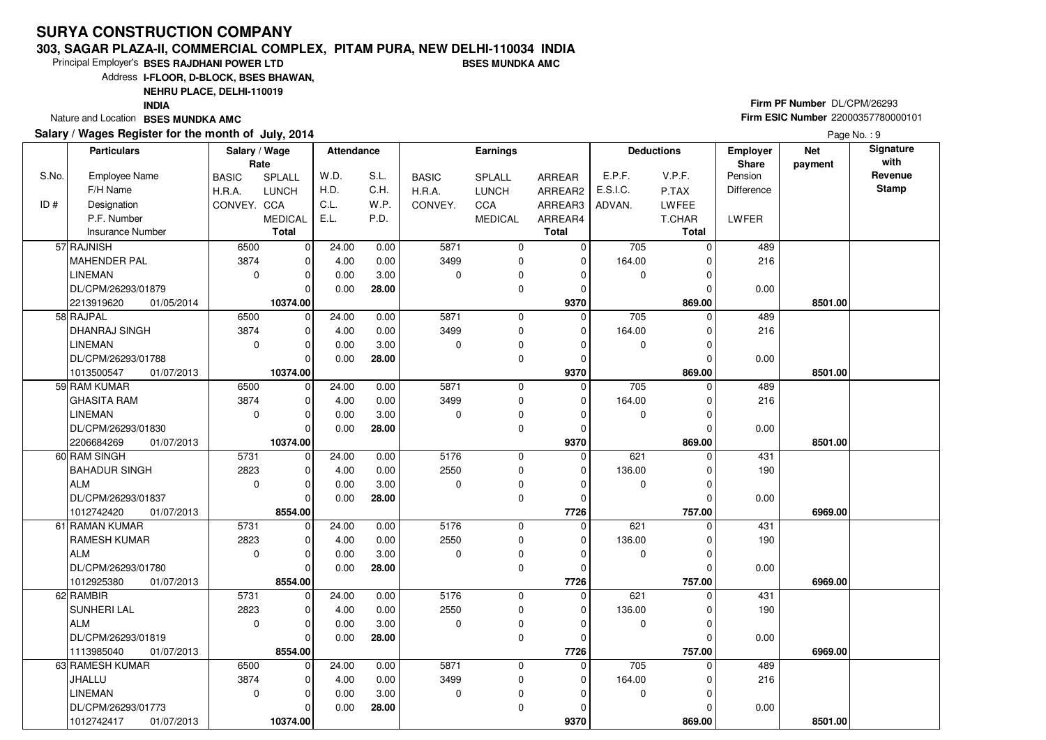### **303, SAGAR PLAZA-II, COMMERCIAL COMPLEX, PITAM PURA, NEW DELHI-110034 INDIABSES MUNDKA AMC**

10374.00

**10374.00** 01/07/2013

1012742417

Principal Employer's**BSES RAJDHANI POWER LTD**

Address**I-FLOOR, D-BLOCK, BSES BHAWAN,**

**NEHRU PLACE, DELHI-110019**

**INDIA**

Nature and Location **BSES MUNDKA AMC** 

## **Salary / Wages Register for the month of July, 2014**

# **Firm PF Number** DL/CPM/26293 **Firm ESIC Number** <sup>22000357780000101</sup>

 **869.00 8501.00**

|       | alary / Wages Register for the month of July, 2014 |                       |                |                   |       |              |                 |              |                  |                   |                          |                       | Page No.: 9       |
|-------|----------------------------------------------------|-----------------------|----------------|-------------------|-------|--------------|-----------------|--------------|------------------|-------------------|--------------------------|-----------------------|-------------------|
|       | <b>Particulars</b>                                 | Salary / Wage<br>Rate |                | <b>Attendance</b> |       |              | <b>Earnings</b> |              |                  | <b>Deductions</b> | <b>Employer</b><br>Share | <b>Net</b><br>payment | Signature<br>with |
| S.No. | Employee Name                                      | <b>BASIC</b>          | SPLALL         | W.D.              | S.L.  | <b>BASIC</b> | SPLALL          | ARREAR       | E.P.F.           | V.P.F.            | Pension                  |                       | Revenue           |
|       | F/H Name                                           | H.R.A.                | <b>LUNCH</b>   | H.D.              | C.H.  | H.R.A.       | <b>LUNCH</b>    | ARREAR2      | E.S.I.C.         | P.TAX             | Difference               |                       | <b>Stamp</b>      |
| ID#   | Designation                                        | CONVEY. CCA           |                | C.L.              | W.P.  | CONVEY.      | CCA             | ARREAR3      | ADVAN.           | <b>LWFEE</b>      |                          |                       |                   |
|       | P.F. Number                                        |                       | <b>MEDICAL</b> | E.L.              | P.D.  |              | <b>MEDICAL</b>  | ARREAR4      |                  | T.CHAR            | <b>LWFER</b>             |                       |                   |
|       | <b>Insurance Number</b>                            |                       | Total          |                   |       |              |                 | <b>Total</b> |                  | <b>Total</b>      |                          |                       |                   |
|       | 57 RAJNISH                                         | 6500                  | $\mathbf 0$    | 24.00             | 0.00  | 5871         | 0               | $\mathbf 0$  | $\overline{705}$ | $\Omega$          | 489                      |                       |                   |
|       | MAHENDER PAL                                       | 3874                  | 0              | 4.00              | 0.00  | 3499         | $\mathbf 0$     | 0            | 164.00           |                   | 216                      |                       |                   |
|       | LINEMAN                                            | $\mathbf{0}$          | $\Omega$       | 0.00              | 3.00  | $\Omega$     | 0               | O            | $\Omega$         |                   |                          |                       |                   |
|       | DL/CPM/26293/01879                                 |                       | $\Omega$       | 0.00              | 28.00 |              | 0               | $\Omega$     |                  |                   | 0.00                     |                       |                   |
|       | 2213919620<br>01/05/2014                           |                       | 10374.00       |                   |       |              |                 | 9370         |                  | 869.00            |                          | 8501.00               |                   |
|       | 58 RAJPAL                                          | 6500                  | $\mathbf 0$    | 24.00             | 0.00  | 5871         | 0               | $\mathbf 0$  | $\overline{705}$ | 0                 | 489                      |                       |                   |
|       | DHANRAJ SINGH                                      | 3874                  | $\mathbf 0$    | 4.00              | 0.00  | 3499         | 0               | $\Omega$     | 164.00           |                   | 216                      |                       |                   |
|       | <b>LINEMAN</b>                                     | $\mathbf{0}$          | $\Omega$       | 0.00              | 3.00  | $\Omega$     | 0               | $\Omega$     | 0                |                   |                          |                       |                   |
|       | DL/CPM/26293/01788                                 |                       | $\Omega$       | 0.00              | 28.00 |              | 0               | $\Omega$     |                  |                   | 0.00                     |                       |                   |
|       | 1013500547<br>01/07/2013                           |                       | 10374.00       |                   |       |              |                 | 9370         |                  | 869.00            |                          | 8501.00               |                   |
|       | 59 RAM KUMAR                                       | 6500                  | 0              | 24.00             | 0.00  | 5871         | 0               | 0            | 705              |                   | 489                      |                       |                   |
|       | <b>GHASITA RAM</b>                                 | 3874                  | $\Omega$       | 4.00              | 0.00  | 3499         | 0               | $\Omega$     | 164.00           |                   | 216                      |                       |                   |
|       | <b>LINEMAN</b>                                     | $\Omega$              | $\Omega$       | 0.00              | 3.00  | $\Omega$     | 0               | 0            | 0                |                   |                          |                       |                   |
|       | DL/CPM/26293/01830                                 |                       | $\Omega$       | 0.00              | 28.00 |              | 0               | $\Omega$     |                  |                   | 0.00                     |                       |                   |
|       | 2206684269<br>01/07/2013                           |                       | 10374.00       |                   |       |              |                 | 9370         |                  | 869.00            |                          | 8501.00               |                   |
|       | 60 RAM SINGH                                       | 5731                  | $\mathbf 0$    | 24.00             | 0.00  | 5176         | 0               | $\Omega$     | 621              |                   | 431                      |                       |                   |
|       | <b>BAHADUR SINGH</b>                               | 2823                  | $\Omega$       | 4.00              | 0.00  | 2550         | 0               | $\Omega$     | 136.00           |                   | 190                      |                       |                   |
|       | <b>ALM</b>                                         | $\mathbf 0$           | $\Omega$       | 0.00              | 3.00  | $\Omega$     | 0               | $\Omega$     | $\mathbf 0$      |                   |                          |                       |                   |
|       | DL/CPM/26293/01837                                 |                       | $\Omega$       | 0.00              | 28.00 |              | 0               | $\Omega$     |                  |                   | 0.00                     |                       |                   |
|       | 1012742420<br>01/07/2013                           |                       | 8554.00        |                   |       |              |                 | 7726         |                  | 757.00            |                          | 6969.00               |                   |
|       | 61 RAMAN KUMAR                                     | 5731                  | $\mathbf 0$    | 24.00             | 0.00  | 5176         | 0               | $\Omega$     | 621              |                   | 431                      |                       |                   |
|       | <b>RAMESH KUMAR</b>                                | 2823                  | $\Omega$       | 4.00              | 0.00  | 2550         | 0               | O            | 136.00           |                   | 190                      |                       |                   |
|       | ALM                                                | $\mathbf 0$           | $\Omega$       | 0.00              | 3.00  | $\Omega$     | $\mathbf 0$     | 0            | 0                |                   |                          |                       |                   |
|       | DL/CPM/26293/01780                                 |                       | $\Omega$       | 0.00              | 28.00 |              | 0               | 0            |                  |                   | 0.00                     |                       |                   |
|       | 1012925380<br>01/07/2013                           |                       | 8554.00        |                   |       |              |                 | 7726         |                  | 757.00            |                          | 6969.00               |                   |
|       | 62 RAMBIR                                          | 5731                  | $\mathbf 0$    | 24.00             | 0.00  | 5176         | 0               | 0            | 621              |                   | 431                      |                       |                   |
|       | <b>SUNHERI LAL</b>                                 | 2823                  | $\Omega$       | 4.00              | 0.00  | 2550         | 0               | $\Omega$     | 136.00           |                   | 190                      |                       |                   |
|       | ALM                                                | $\Omega$              | $\Omega$       | 0.00              | 3.00  | $\Omega$     | $\mathbf 0$     | 0            | 0                |                   |                          |                       |                   |
|       | DL/CPM/26293/01819                                 |                       | $\Omega$       | 0.00              | 28.00 |              | 0               | 0            |                  |                   | 0.00                     |                       |                   |
|       | 1113985040<br>01/07/2013                           |                       | 8554.00        |                   |       |              |                 | 7726         |                  | 757.00            |                          | 6969.00               |                   |
|       | 63 RAMESH KUMAR                                    | 6500                  | $\Omega$       | 24.00             | 0.00  | 5871         | 0               | $\Omega$     | $\overline{705}$ |                   | 489                      |                       |                   |
|       | JHALLU                                             | 3874                  | 0              | 4.00              | 0.00  | 3499         | 0               | 0            | 164.00           |                   | 216                      |                       |                   |
|       | <b>LINEMAN</b>                                     | $\Omega$              | $\Omega$       | 0.00              | 3.00  | $\Omega$     | $\Omega$        | 0            | 0                |                   |                          |                       |                   |
|       | DL/CPM/26293/01773                                 |                       | $\Omega$       | 0.00              | 28.00 |              | $\Omega$        | $\Omega$     |                  | $\Omega$          | 0.00                     |                       |                   |

 **9370**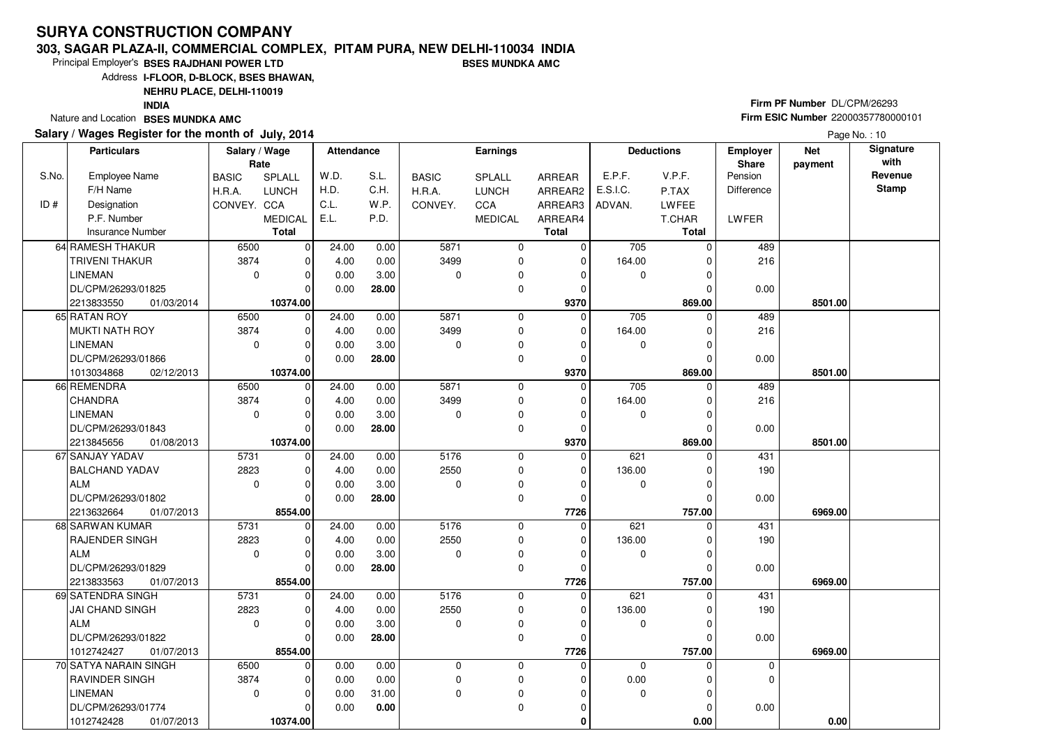### **303, SAGAR PLAZA-II, COMMERCIAL COMPLEX, PITAM PURA, NEW DELHI-110034 INDIABSES MUNDKA AMC**

10374.00

**10374.00** 01/07/2013

1012742428

Principal Employer's**BSES RAJDHANI POWER LTD**

Address**I-FLOOR, D-BLOCK, BSES BHAWAN,**

**NEHRU PLACE, DELHI-110019**

**INDIA**

Nature and Location **BSES MUNDKA AMC** 

## **Salary / Wages Register for the month of July, 2014**

# **Firm PF Number** DL/CPM/26293 **Firm ESIC Number** <sup>22000357780000101</sup>

 **0.00 0.00**

|       | Salary / Wages Register for the month of July, 2014 |               |                |                   |       |              |                |              |             |                   | Page No.: 10    |            |              |
|-------|-----------------------------------------------------|---------------|----------------|-------------------|-------|--------------|----------------|--------------|-------------|-------------------|-----------------|------------|--------------|
|       | <b>Particulars</b>                                  | Salary / Wage |                | <b>Attendance</b> |       |              | Earnings       |              |             | <b>Deductions</b> | <b>Employer</b> | <b>Net</b> | Signature    |
|       |                                                     | Rate          |                |                   |       |              |                |              |             |                   | <b>Share</b>    | payment    | with         |
| S.No. | Employee Name                                       | <b>BASIC</b>  | SPLALL         | W.D.              | S.L.  | <b>BASIC</b> | SPLALL         | ARREAR       | E.P.F.      | V.P.F.            | Pension         |            | Revenue      |
|       | F/H Name                                            | H.R.A.        | <b>LUNCH</b>   | H.D.              | C.H.  | H.R.A.       | <b>LUNCH</b>   | ARREAR2      | E.S.I.C.    | P.TAX             | Difference      |            | <b>Stamp</b> |
| ID#   | Designation                                         | CONVEY. CCA   |                | C.L.              | W.P.  | CONVEY.      | <b>CCA</b>     | ARREAR3      | ADVAN.      | LWFEE             |                 |            |              |
|       | P.F. Number                                         |               | <b>MEDICAL</b> | E.L.              | P.D.  |              | <b>MEDICAL</b> | ARREAR4      |             | T.CHAR            | <b>LWFER</b>    |            |              |
|       | <b>Insurance Number</b>                             |               | <b>Total</b>   |                   |       |              |                | <b>Total</b> |             | Total             |                 |            |              |
|       | 64 RAMESH THAKUR                                    | 6500          | 0              | 24.00             | 0.00  | 5871         | 0              | 0            | 705         | 0                 | 489             |            |              |
|       | TRIVENI THAKUR                                      | 3874          | 0              | 4.00              | 0.00  | 3499         | 0              | $\Omega$     | 164.00      | 0                 | 216             |            |              |
|       | <b>LINEMAN</b>                                      | $\Omega$      | $\mathbf 0$    | 0.00              | 3.00  | $\Omega$     | $\Omega$       | $\Omega$     | $\Omega$    | $\Omega$          |                 |            |              |
|       | DL/CPM/26293/01825                                  |               | $\Omega$       | 0.00              | 28.00 |              | 0              | $\Omega$     |             |                   | 0.00            |            |              |
|       | 2213833550<br>01/03/2014                            |               | 10374.00       |                   |       |              |                | 9370         |             | 869.00            |                 | 8501.00    |              |
|       | 65 RATAN ROY                                        | 6500          | $\mathbf 0$    | 24.00             | 0.00  | 5871         | $\mathbf 0$    | $\mathbf 0$  | 705         | $\mathbf 0$       | 489             |            |              |
|       | MUKTI NATH ROY                                      | 3874          | 0              | 4.00              | 0.00  | 3499         | $\mathbf 0$    | $\Omega$     | 164.00      | $\Omega$          | 216             |            |              |
|       | <b>LINEMAN</b>                                      | $\Omega$      | $\Omega$       | 0.00              | 3.00  | $\mathbf 0$  | $\Omega$       | $\Omega$     | $\Omega$    | $\Omega$          |                 |            |              |
|       | DL/CPM/26293/01866                                  |               | $\Omega$       | 0.00              | 28.00 |              | 0              | $\Omega$     |             | $\Omega$          | 0.00            |            |              |
|       | 1013034868<br>02/12/2013                            |               | 10374.00       |                   |       |              |                | 9370         |             | 869.00            |                 | 8501.00    |              |
|       | 66 REMENDRA                                         | 6500          | $\mathbf 0$    | 24.00             | 0.00  | 5871         | $\mathbf 0$    | $\mathbf 0$  | 705         | 0                 | 489             |            |              |
|       | CHANDRA                                             | 3874          | 0              | 4.00              | 0.00  | 3499         | $\mathbf 0$    | $\Omega$     | 164.00      | $\Omega$          | 216             |            |              |
|       | <b>LINEMAN</b>                                      | $\Omega$      | 0              | 0.00              | 3.00  | $\Omega$     | 0              | $\Omega$     | $\Omega$    | $\Omega$          |                 |            |              |
|       | DL/CPM/26293/01843                                  |               | $\Omega$       | 0.00              | 28.00 |              | 0              | $\Omega$     |             |                   | 0.00            |            |              |
|       | 2213845656<br>01/08/2013                            |               | 10374.00       |                   |       |              |                | 9370         |             | 869.00            |                 | 8501.00    |              |
|       | 67 SANJAY YADAV                                     | 5731          | 0              | 24.00             | 0.00  | 5176         | $\mathbf 0$    | $\Omega$     | 621         | $\Omega$          | 431             |            |              |
|       | <b>BALCHAND YADAV</b>                               | 2823          | 0              | 4.00              | 0.00  | 2550         | 0              | $\Omega$     | 136.00      | $\Omega$          | 190             |            |              |
|       | <b>ALM</b>                                          | $\mathbf 0$   | $\Omega$       | 0.00              | 3.00  | $\mathbf 0$  | 0              | $\Omega$     | $\mathbf 0$ | $\Omega$          |                 |            |              |
|       | DL/CPM/26293/01802                                  |               | $\Omega$       | 0.00              | 28.00 |              | $\mathbf 0$    | $\Omega$     |             | $\Omega$          | 0.00            |            |              |
|       | 2213632664<br>01/07/2013                            |               | 8554.00        |                   |       |              |                | 7726         |             | 757.00            |                 | 6969.00    |              |
|       | 68 SARWAN KUMAR                                     | 5731          | 0              | 24.00             | 0.00  | 5176         | $\mathbf 0$    | $\Omega$     | 621         | $\Omega$          | 431             |            |              |
|       | RAJENDER SINGH                                      | 2823          | 0              | 4.00              | 0.00  | 2550         | 0              | $\Omega$     | 136.00      | $\Omega$          | 190             |            |              |
|       | <b>ALM</b>                                          | $\mathbf 0$   | 0              | 0.00              | 3.00  | $\mathbf 0$  | 0              | $\Omega$     | $\Omega$    | $\mathbf 0$       |                 |            |              |
|       | DL/CPM/26293/01829                                  |               | $\Omega$       | 0.00              | 28.00 |              | 0              | $\Omega$     |             | $\Omega$          | 0.00            |            |              |
|       | 2213833563<br>01/07/2013                            |               | 8554.00        |                   |       |              |                | 7726         |             | 757.00            |                 | 6969.00    |              |
|       | 69 SATENDRA SINGH                                   | 5731          | 0              | 24.00             | 0.00  | 5176         | 0              | $\Omega$     | 621         | $\Omega$          | 431             |            |              |
|       | JAI CHAND SINGH                                     | 2823          | 0              | 4.00              | 0.00  | 2550         | 0              | $\Omega$     | 136.00      | $\Omega$          | 190             |            |              |
|       | <b>ALM</b>                                          | $\mathbf 0$   | $\Omega$       | 0.00              | 3.00  | $\mathbf 0$  | 0              | $\Omega$     | $\Omega$    | $\Omega$          |                 |            |              |
|       | DL/CPM/26293/01822                                  |               | 0              | 0.00              | 28.00 |              | 0              | $\Omega$     |             |                   | 0.00            |            |              |
|       | 1012742427<br>01/07/2013                            |               | 8554.00        |                   |       |              |                | 7726         |             | 757.00            |                 | 6969.00    |              |
|       | 70 SATYA NARAIN SINGH                               | 6500          | 0              | 0.00              | 0.00  | $\mathbf 0$  | $\mathbf 0$    | $\Omega$     | $\Omega$    | $\Omega$          | $\mathbf 0$     |            |              |
|       | <b>RAVINDER SINGH</b>                               | 3874          | $\mathbf 0$    | 0.00              | 0.00  | $\mathbf 0$  | 0              | $\Omega$     | 0.00        | $\Omega$          | $\mathbf 0$     |            |              |
|       | <b>LINEMAN</b>                                      | $\mathbf 0$   | 0              | 0.00              | 31.00 | $\Omega$     | $\Omega$       | $\Omega$     | $\mathbf 0$ | 0                 |                 |            |              |
|       | DL/CPM/26293/01774                                  |               | 0              | 0.00              | 0.00  |              | $\Omega$       | $\Omega$     |             | $\Omega$          | 0.00            |            |              |

 **0**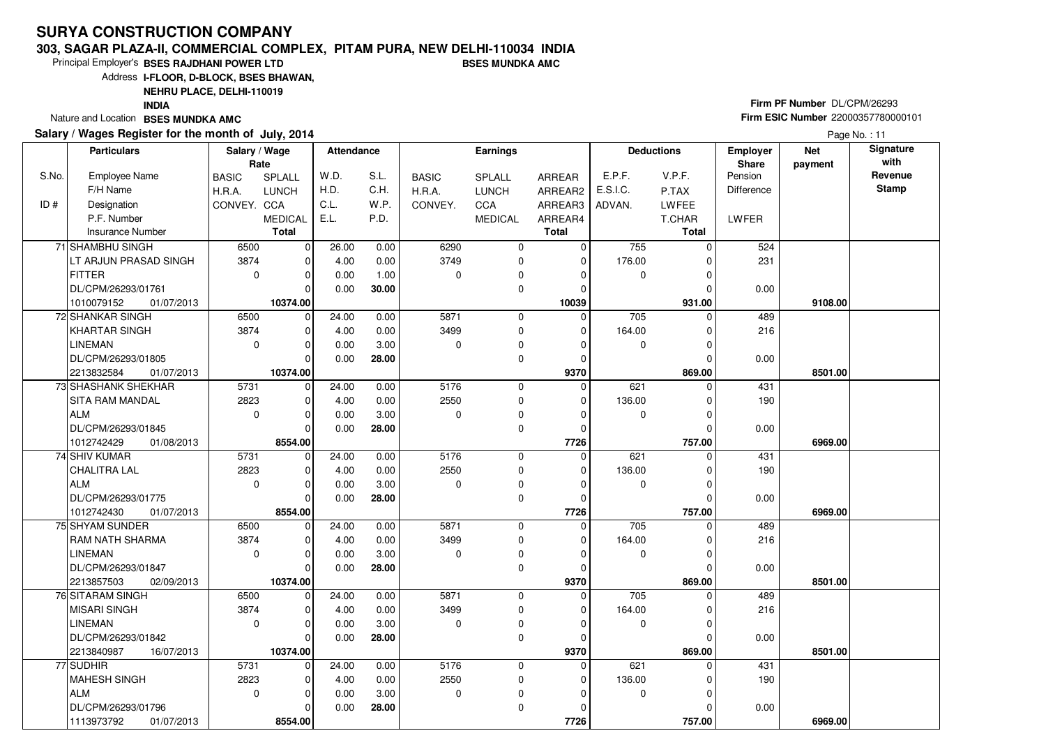### **303, SAGAR PLAZA-II, COMMERCIAL COMPLEX, PITAM PURA, NEW DELHI-110034 INDIABSES MUNDKA AMC**

8554.00

Principal Employer's**BSES RAJDHANI POWER LTD**

Address**I-FLOOR, D-BLOCK, BSES BHAWAN,**

**NEHRU PLACE, DELHI-110019**

**INDIA**

Nature and Location **BSES MUNDKA AMC** 

## **Salary / Wages Register for the month of July, 2014**

01/07/2013

1113973792 **8554.00**

# **Firm PF Number** DL/CPM/26293 **Firm ESIC Number** <sup>22000357780000101</sup>

 **757.00 6969.00**

|       | Salary / Wages Register for the month of July, 2014 |               |                |            |       |              |                |              |             |                   | Page No.: 11    |            |                         |
|-------|-----------------------------------------------------|---------------|----------------|------------|-------|--------------|----------------|--------------|-------------|-------------------|-----------------|------------|-------------------------|
|       | <b>Particulars</b>                                  | Salary / Wage |                | Attendance |       |              | Earnings       |              |             | <b>Deductions</b> | <b>Employer</b> | <b>Net</b> | <b>Signature</b>        |
|       |                                                     | Rate          |                |            |       |              |                |              |             |                   | Share           | payment    | with                    |
| S.No. | <b>Employee Name</b>                                | <b>BASIC</b>  | SPLALL         | W.D.       | S.L.  | <b>BASIC</b> | SPLALL         | ARREAR       | E.P.F.      | V.P.F.            | Pension         |            | Revenue<br><b>Stamp</b> |
|       | F/H Name                                            | H.R.A.        | <b>LUNCH</b>   | H.D.       | C.H.  | H.R.A.       | <b>LUNCH</b>   | ARREAR2      | E.S.I.C.    | P.TAX             | Difference      |            |                         |
| ID#   | Designation                                         | CONVEY. CCA   |                | C.L.       | W.P.  | CONVEY.      | <b>CCA</b>     | ARREAR3      | ADVAN.      | LWFEE             |                 |            |                         |
|       | P.F. Number                                         |               | <b>MEDICAL</b> | E.L.       | P.D.  |              | <b>MEDICAL</b> | ARREAR4      |             | T.CHAR            | <b>LWFER</b>    |            |                         |
|       | <b>Insurance Number</b>                             |               | <b>Total</b>   |            |       |              |                | <b>Total</b> |             | Total             |                 |            |                         |
|       | 71 SHAMBHU SINGH                                    | 6500          | $\overline{0}$ | 26.00      | 0.00  | 6290         | 0              | 0            | 755         | 0                 | 524             |            |                         |
|       | LT ARJUN PRASAD SINGH                               | 3874          | 0              | 4.00       | 0.00  | 3749         | 0              | $\mathbf 0$  | 176.00      | 0                 | 231             |            |                         |
|       | <b>FITTER</b>                                       | $\mathbf{0}$  | 0              | 0.00       | 1.00  | $\Omega$     | 0              | $\Omega$     | 0           | $\Omega$          |                 |            |                         |
|       | DL/CPM/26293/01761                                  |               | 0              | 0.00       | 30.00 |              | 0              | $\Omega$     |             | $\Omega$          | 0.00            |            |                         |
|       | 1010079152<br>01/07/2013                            |               | 10374.00       |            |       |              |                | 10039        |             | 931.00            |                 | 9108.00    |                         |
|       | 72 SHANKAR SINGH                                    | 6500          | 0              | 24.00      | 0.00  | 5871         | 0              | 0            | 705         | $\mathbf 0$       | 489             |            |                         |
|       | <b>KHARTAR SINGH</b>                                | 3874          | 0              | 4.00       | 0.00  | 3499         | 0              | $\Omega$     | 164.00      | 0                 | 216             |            |                         |
|       | <b>LINEMAN</b>                                      | $\Omega$      | 0              | 0.00       | 3.00  | $\Omega$     | 0              | $\Omega$     | 0           | $\Omega$          |                 |            |                         |
|       | DL/CPM/26293/01805                                  |               | $\Omega$       | 0.00       | 28.00 |              | 0              | $\Omega$     |             | $\Omega$          | 0.00            |            |                         |
|       | 2213832584<br>01/07/2013                            |               | 10374.00       |            |       |              |                | 9370         |             | 869.00            |                 | 8501.00    |                         |
|       | 73 SHASHANK SHEKHAR                                 | 5731          | $\overline{0}$ | 24.00      | 0.00  | 5176         | 0              | 0            | 621         | 0                 | 431             |            |                         |
|       | SITA RAM MANDAL                                     | 2823          | 0              | 4.00       | 0.00  | 2550         | 0              | $\Omega$     | 136.00      | $\Omega$          | 190             |            |                         |
|       | <b>ALM</b>                                          | $\mathbf 0$   | 0              | 0.00       | 3.00  | $\Omega$     | $\mathbf 0$    | $\Omega$     | 0           | 0                 |                 |            |                         |
|       | DL/CPM/26293/01845                                  |               | 0              | 0.00       | 28.00 |              | 0              | $\Omega$     |             | $\Omega$          | 0.00            |            |                         |
|       | 1012742429<br>01/08/2013                            |               | 8554.00        |            |       |              |                | 7726         |             | 757.00            |                 | 6969.00    |                         |
|       | 74 SHIV KUMAR                                       | 5731          | 0              | 24.00      | 0.00  | 5176         | $\mathbf 0$    | 0            | 621         | 0                 | 431             |            |                         |
|       | <b>CHALITRA LAL</b>                                 | 2823          | 0              | 4.00       | 0.00  | 2550         | 0              | $\mathbf 0$  | 136.00      | 0                 | 190             |            |                         |
|       | <b>ALM</b>                                          | $\mathbf 0$   | 0              | 0.00       | 3.00  | $\Omega$     | 0              | $\Omega$     | $\mathbf 0$ | $\Omega$          |                 |            |                         |
|       | DL/CPM/26293/01775                                  |               | $\Omega$       | 0.00       | 28.00 |              | 0              | $\Omega$     |             | $\Omega$          | 0.00            |            |                         |
|       | 1012742430<br>01/07/2013                            |               | 8554.00        |            |       |              |                | 7726         |             | 757.00            |                 | 6969.00    |                         |
|       | 75 SHYAM SUNDER                                     | 6500          | $\Omega$       | 24.00      | 0.00  | 5871         | 0              | $\mathbf 0$  | 705         | $\Omega$          | 489             |            |                         |
|       | RAM NATH SHARMA                                     | 3874          | 0              | 4.00       | 0.00  | 3499         | 0              | $\Omega$     | 164.00      | $\Omega$          | 216             |            |                         |
|       | <b>LINEMAN</b>                                      | $\mathbf 0$   | $\mathbf 0$    | 0.00       | 3.00  | $\mathbf 0$  | 0              | $\Omega$     | $\mathbf 0$ | $\Omega$          |                 |            |                         |
|       | DL/CPM/26293/01847                                  |               | $\Omega$       | 0.00       | 28.00 |              | 0              | $\Omega$     |             | $\Omega$          | 0.00            |            |                         |
|       | 2213857503<br>02/09/2013                            |               | 10374.00       |            |       |              |                | 9370         |             | 869.00            |                 | 8501.00    |                         |
|       | 76 SITARAM SINGH                                    | 6500          | $\mathbf 0$    | 24.00      | 0.00  | 5871         | $\mathbf 0$    | $\mathbf 0$  | 705         | $\Omega$          | 489             |            |                         |
|       | <b>MISARI SINGH</b>                                 | 3874          | $\overline{0}$ | 4.00       | 0.00  | 3499         | 0              | $\mathbf 0$  | 164.00      | $\Omega$          | 216             |            |                         |
|       | <b>LINEMAN</b>                                      | $\Omega$      | 0              | 0.00       | 3.00  | $\Omega$     | 0              | $\Omega$     | $\mathbf 0$ | $\Omega$          |                 |            |                         |
|       | DL/CPM/26293/01842                                  |               | $\Omega$       | 0.00       | 28.00 |              | 0              | $\Omega$     |             | $\Omega$          | 0.00            |            |                         |
|       | 2213840987<br>16/07/2013                            |               | 10374.00       |            |       |              |                | 9370         |             | 869.00            |                 | 8501.00    |                         |
|       | 77 SUDHIR                                           | 5731          | $\mathbf 0$    | 24.00      | 0.00  | 5176         | $\mathbf 0$    | $\mathbf 0$  | 621         | 0                 | 431             |            |                         |
|       | <b>MAHESH SINGH</b>                                 | 2823          | 0              | 4.00       | 0.00  | 2550         | 0              | $\mathbf 0$  | 136.00      | 0                 | 190             |            |                         |
|       | <b>ALM</b>                                          | $\mathbf 0$   | $\mathbf 0$    | 0.00       | 3.00  | $\Omega$     | $\Omega$       | $\Omega$     | $\mathbf 0$ | 0                 |                 |            |                         |
|       | DL/CPM/26293/01796                                  |               | $\Omega$       | 0.00       | 28.00 |              | $\Omega$       | $\Omega$     |             | 0                 | 0.00            |            |                         |

 **7726**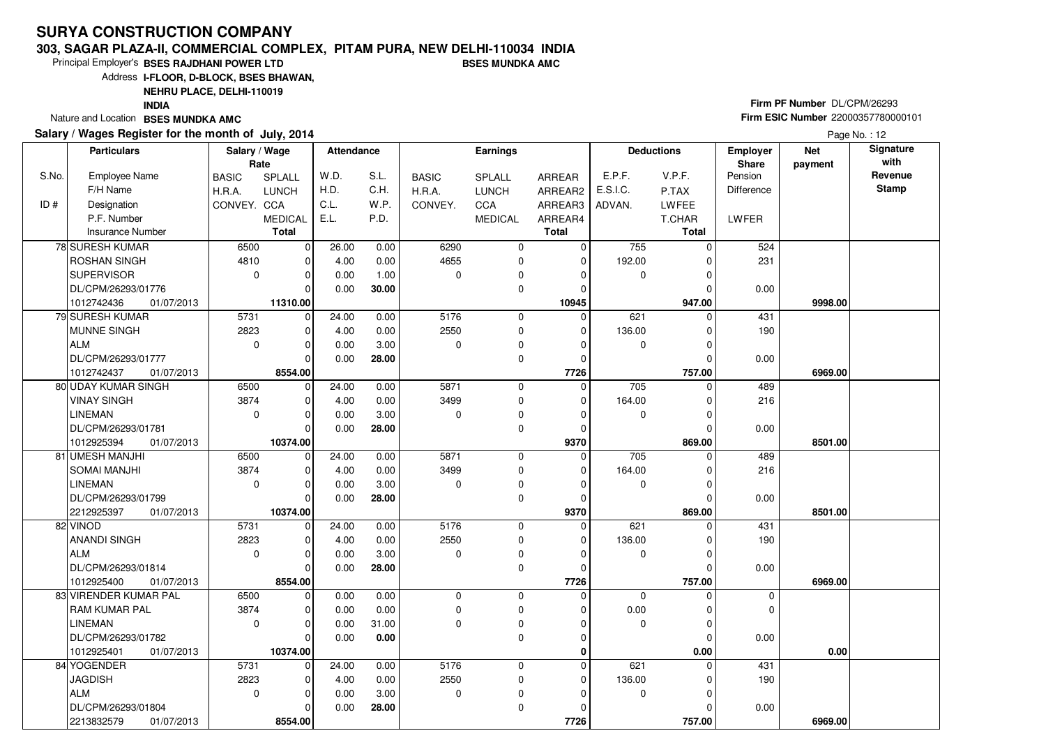#### **303, SAGAR PLAZA-II, COMMERCIAL COMPLEX, PITAM PURA, NEW DELHI-110034 INDIABSES MUNDKA AMC**

 $\overline{\phantom{0}}$ 8554.00

Principal Employer's**BSES RAJDHANI POWER LTD**

Address**I-FLOOR, D-BLOCK, BSES BHAWAN,**

**NEHRU PLACE, DELHI-110019**

**INDIA**

Nature and Location **BSES MUNDKA AMC** 

## **Salary / Wages Register for the month of July, 2014**

01/07/2013

2213832579 **8554.00**

# **Firm PF Number** DL/CPM/26293 **Firm ESIC Number** <sup>22000357780000101</sup>

 **757.00 6969.00**

**BASIC**  H.R.A.CONVEY. CCA SPLALL LUNCH MEDICALARREAR ARREAR2 ARREAR3 ARREAR4**Total**S.No. $ID#$ Employee NameF/H Name Designation P.F. NumberInsurance Number**Salary / Wage RateAttendance EarningsBASIC**  H.R.A.**CONVEY** SPLALL LUNCHC<sub>C</sub>A MEDICAL**Total**ADVAN.P.TAX LWFEE T.CHAR **Total**E.P.F. V.P.F. E.S.I.C.Pension DifferenceLWFER**Deductions Employer Share**W.D.H.D.C.L. E.L.S.L.C.H.W<sub>P</sub> P.D.**Net paymentSignature with Revenue StampParticulars**Page No.: 12 6500 4810 $\overline{0}$  $\overline{0}$  $\overline{0}$  $\overline{0}$  $\overline{0}$ 11310.00  $\overline{0}$  $\overline{0}$  $\overline{0}$  $\overline{0}$   **10945** $\overline{0}$  6290 4655 $\overline{0}$  $\overline{0}$  $\overline{0}$  $\overline{0}$  $\overline{0}$  755 0 $\overline{0}$  192.00 $\overline{0}$  $\overline{0}$  $\overline{0}$ 947.00  **947.00 9998.00** 524 231 0.0078 SURESH KUMAR ROSHAN SINGH**SUPERVISOR**  DL/CPM/26293/01776 **11310.00** 01/07/2013101274243626.00 4.00 0.00 0.00 0.00 0.00 1.00 **30.00** 5731 2823 $\overline{0}$  $\Omega$  $\overline{0}$  $\overline{0}$  $\overline{0}$ 8554.00  $\overline{0}$  $\overline{0}$  $\overline{0}$   **7726** $\overline{0}$  5176 2550 $\overline{0}$  $\overline{0}$  $\overline{0}$  $\overline{0}$  $\overline{0}$  621 0 $\overline{0}$  136.00 $\overline{0}$  $\overline{0}$  $\overline{0}$ 757.00  **757.00 6969.00** 431 190 0.0079 SURESH KUMARMUNNE SINGH ALM DL/CPM/26293/01777 1012742437 **8554.00**01/07/2013 $\overline{0}$  $24.00$  4.00 0.00 0.00 0.00 0.00 3.00 **28.00** 6500 3874 $\overline{0}$  $\overline{0}$  $\overline{0}$  $\overline{\phantom{0}}$ 10374.00  $\overline{0}$  $\overline{0}$  $\overline{0}$   **9370** $\overline{0}$  5871 3499 $\overline{0}$  $\overline{0}$  $\overline{0}$  $\overline{0}$  $\overline{0}$  705 0 $\overline{0}$  164.00 $\overline{0}$  $\overline{0}$  $\overline{0}$ 869.00  **869.00 8501.00** 489 216 0.0080 UDAY KUMAR SINGHVINAY SINGHLINEMAN DL/CPM/26293/01781 **10374.00** 01/07/2013101292539424.00 4.00 0.00 0.00 0.00 0.00 3.00 **28.00** 6500 3874 $\overline{\phantom{0}}$  $\Omega$  $\overline{0}$  $\overline{\phantom{0}}$  $\overline{\phantom{0}}$ 10374.00  $\overline{0}$  $\overline{0}$  $\overline{0}$   **9370** $\overline{0}$  5871 3499 $\overline{\phantom{0}}$  $\overline{0}$  $\overline{0}$  $\overline{0}$  $\overline{0}$  705 0 $\overline{0}$  164.00 $\overline{0}$  $\overline{0}$  $\overline{0}$ 869.00  **869.00 8501.00** 489 216 0.0081 UMESH MANJHI SOMAI MANJHILINEMAN DL/CPM/26293/01799 **10374.00** 01/07/2013221292539724.00 4.00 0.00 0.00 0.00 0.00 3.00 **28.00** 5731 2823 $\overline{0}$  $\Omega$  $\Omega$  $\Omega$  $\Omega$ 8554.00  $\overline{0}$  $\overline{0}$  $\overline{0}$   **7726** $\overline{0}$  5176 2550 $\overline{0}$  0 $\overline{0}$  $\overline{0}$  $\overline{0}$ 621 0  $\overline{0}$  136.00 $\overline{0}$  $\overline{0}$  $\overline{0}$ 757.00  **757.00 6969.00** 431 190 0.0082 VINOD ANANDI SINGHALM DL/CPM/26293/01814 01/07/20131012925400 **8554.00**24.00 4.00 0.00 0.00 0.00 0.00 3.00 **28.00** 6500 3874 $\overline{0}$  $\overline{\phantom{0}}$  $\Omega$  $\Omega$  $\overline{\phantom{0}}$ 10374.00  $\overline{0}$  $\overline{0}$  $\overline{0}$   **0** $\overline{0}$  0 $\overline{0}$  $\overline{0}$  0 $\overline{0}$  $\overline{0}$  $\overline{0}$  0 0 $\overline{0}$  0.00 $\overline{0}$  $\overline{0}$  $\overline{0}$  $0.00$  **0.00 0.00** 0 $\overline{0}$  0.0083 VIRENDER KUMAR PALRAM KUMAR PALLINEMAN DL/CPM/26293/01782 **10374.00** 01/07/20131012925401 0.00 0.00 0.00 0.00 0.00 0.00 31.00  **0.00** 5731 2823 $\overline{0}$  $\overline{0}$  $\overline{0}$  $\Omega$  $\overline{0}$  $\overline{0}$  $\overline{0}$ 5176 2550 $\overline{0}$  $\overline{0}$  $\overline{0}$  $\overline{0}$  $\overline{0}$  $621$  0  $\overline{0}$  136.00 $\Omega$  $\overline{0}$  $\overline{0}$  431 190 0.0084 YOGENDERJAGDISHALM DL/CPM/26293/01804 $24.00$  4.00 0.00 0.00 $0.00$  0.00 3.00**28.00**

 **7726**